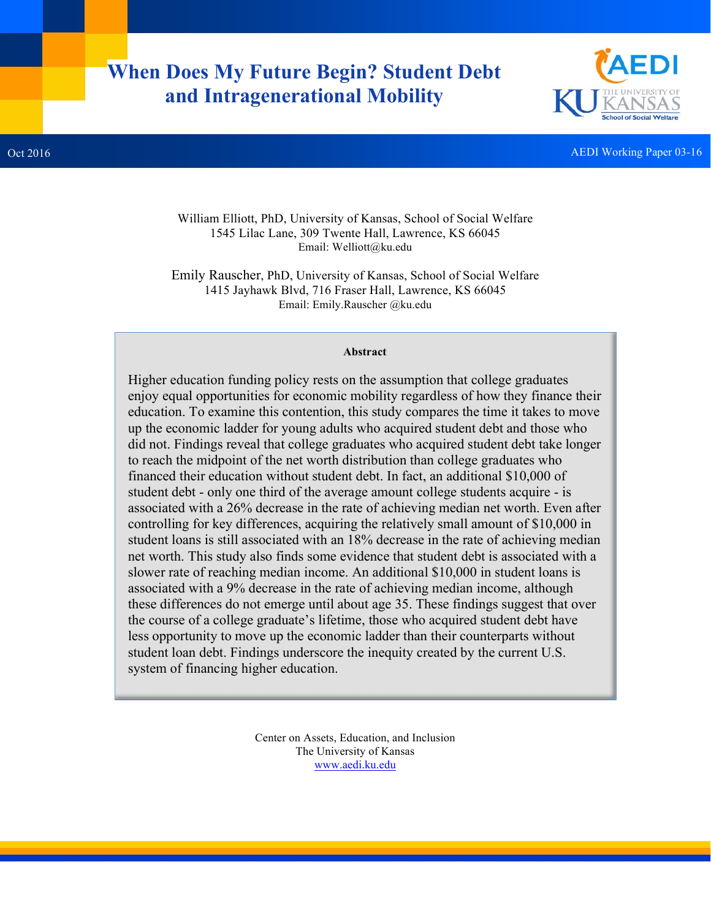# **When Does My Future Begin? Student Debt and Intragenerational Mobility**



**Oct 2016** AEDI Working Paper 03-16

William Elliott, PhD, University of Kansas, School of Social Welfare 1545 Lilac Lane, 309 Twente Hall, Lawrence, KS 66045 Email: Welliott@ku.edu

Emily Rauscher, PhD, University of Kansas, School of Social Welfare 1415 Jayhawk Blvd, 716 Fraser Hall, Lawrence, KS 66045 Email: Emily.Rauscher @ku.edu

#### **Abstract**

Higher education funding policy rests on the assumption that college graduates enjoy equal opportunities for economic mobility regardless of how they finance their education. To examine this contention, this study compares the time it takes to move up the economic ladder for young adults who acquired student debt and those who did not. Findings reveal that college graduates who acquired student debt take longer to reach the midpoint of the net worth distribution than college graduates who financed their education without student debt. In fact, an additional \$10,000 of student debt - only one third of the average amount college students acquire - is associated with a 26% decrease in the rate of achieving median net worth. Even after controlling for key differences, acquiring the relatively small amount of \$10,000 in student loans is still associated with an 18% decrease in the rate of achieving median net worth. This study also finds some evidence that student debt is associated with a slower rate of reaching median income. An additional \$10,000 in student loans is associated with a 9% decrease in the rate of achieving median income, although these differences do not emerge until about age 35. These findings suggest that over the course of a college graduate's lifetime, those who acquired student debt have less opportunity to move up the economic ladder than their counterparts without student loan debt. Findings underscore the inequity created by the current U.S. system of financing higher education.

> Center on Assets, Education, and Inclusion The University of Kansas www.aedi.ku.edu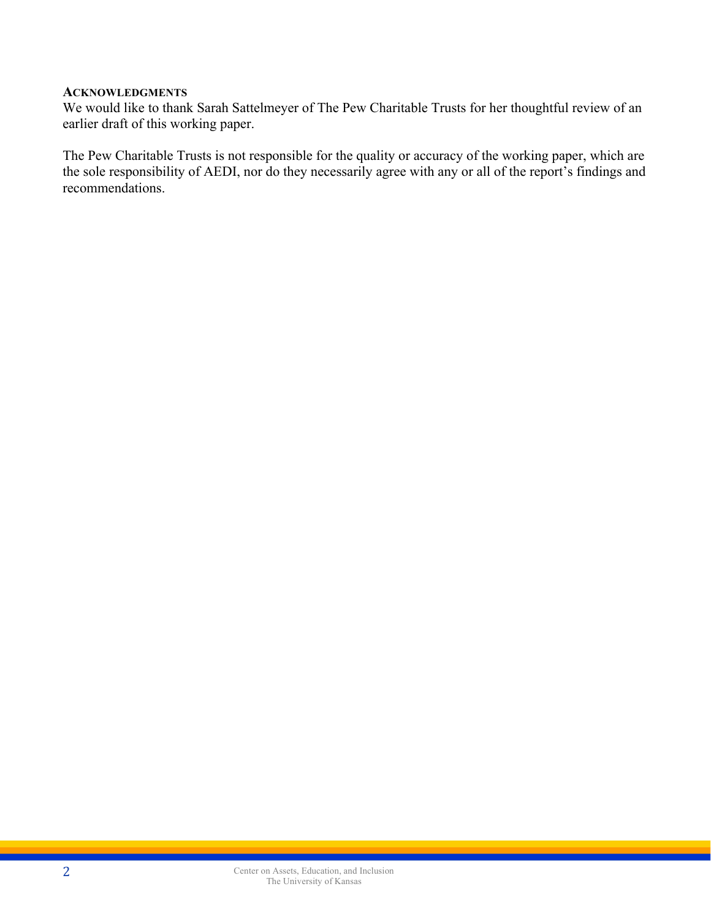#### **ACKNOWLEDGMENTS**

We would like to thank Sarah Sattelmeyer of The Pew Charitable Trusts for her thoughtful review of an earlier draft of this working paper.

The Pew Charitable Trusts is not responsible for the quality or accuracy of the working paper, which are the sole responsibility of AEDI, nor do they necessarily agree with any or all of the report's findings and recommendations.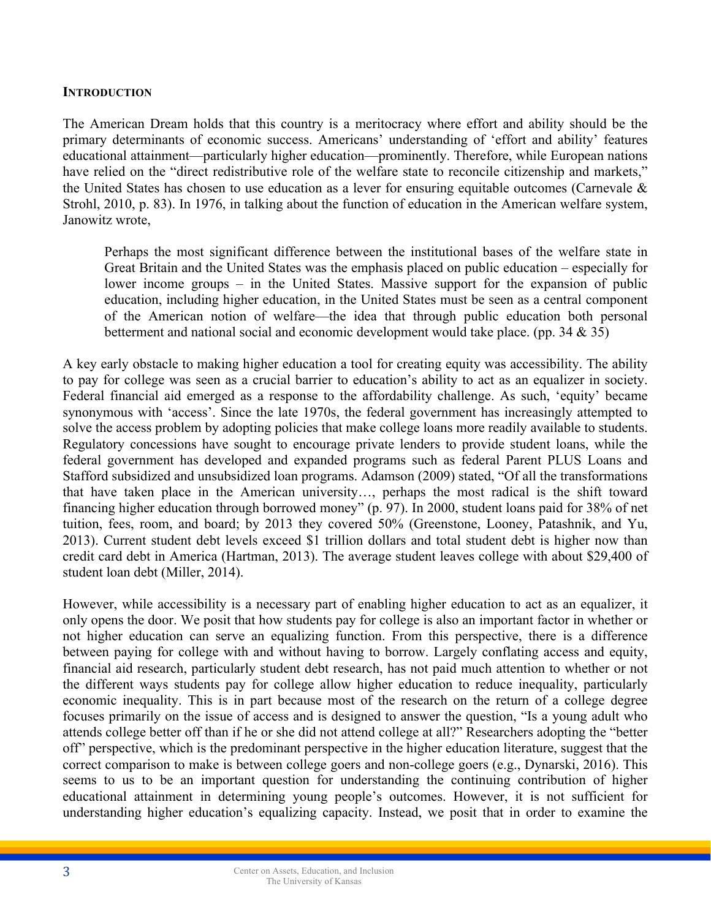#### **INTRODUCTION**

The American Dream holds that this country is a meritocracy where effort and ability should be the primary determinants of economic success. Americans' understanding of 'effort and ability' features educational attainment—particularly higher education—prominently. Therefore, while European nations have relied on the "direct redistributive role of the welfare state to reconcile citizenship and markets," the United States has chosen to use education as a lever for ensuring equitable outcomes (Carnevale & Strohl, 2010, p. 83). In 1976, in talking about the function of education in the American welfare system, Janowitz wrote,

Perhaps the most significant difference between the institutional bases of the welfare state in Great Britain and the United States was the emphasis placed on public education – especially for lower income groups – in the United States. Massive support for the expansion of public education, including higher education, in the United States must be seen as a central component of the American notion of welfare—the idea that through public education both personal betterment and national social and economic development would take place. (pp. 34  $\&$  35)

A key early obstacle to making higher education a tool for creating equity was accessibility. The ability to pay for college was seen as a crucial barrier to education's ability to act as an equalizer in society. Federal financial aid emerged as a response to the affordability challenge. As such, 'equity' became synonymous with 'access'. Since the late 1970s, the federal government has increasingly attempted to solve the access problem by adopting policies that make college loans more readily available to students. Regulatory concessions have sought to encourage private lenders to provide student loans, while the federal government has developed and expanded programs such as federal Parent PLUS Loans and Stafford subsidized and unsubsidized loan programs. Adamson (2009) stated, "Of all the transformations that have taken place in the American university…, perhaps the most radical is the shift toward financing higher education through borrowed money" (p. 97). In 2000, student loans paid for 38% of net tuition, fees, room, and board; by 2013 they covered 50% (Greenstone, Looney, Patashnik, and Yu, 2013). Current student debt levels exceed \$1 trillion dollars and total student debt is higher now than credit card debt in America (Hartman, 2013). The average student leaves college with about \$29,400 of student loan debt (Miller, 2014).

However, while accessibility is a necessary part of enabling higher education to act as an equalizer, it only opens the door. We posit that how students pay for college is also an important factor in whether or not higher education can serve an equalizing function. From this perspective, there is a difference between paying for college with and without having to borrow. Largely conflating access and equity, financial aid research, particularly student debt research, has not paid much attention to whether or not the different ways students pay for college allow higher education to reduce inequality, particularly economic inequality. This is in part because most of the research on the return of a college degree focuses primarily on the issue of access and is designed to answer the question, "Is a young adult who attends college better off than if he or she did not attend college at all?" Researchers adopting the "better off" perspective, which is the predominant perspective in the higher education literature, suggest that the correct comparison to make is between college goers and non-college goers (e.g., Dynarski, 2016). This seems to us to be an important question for understanding the continuing contribution of higher educational attainment in determining young people's outcomes. However, it is not sufficient for understanding higher education's equalizing capacity. Instead, we posit that in order to examine the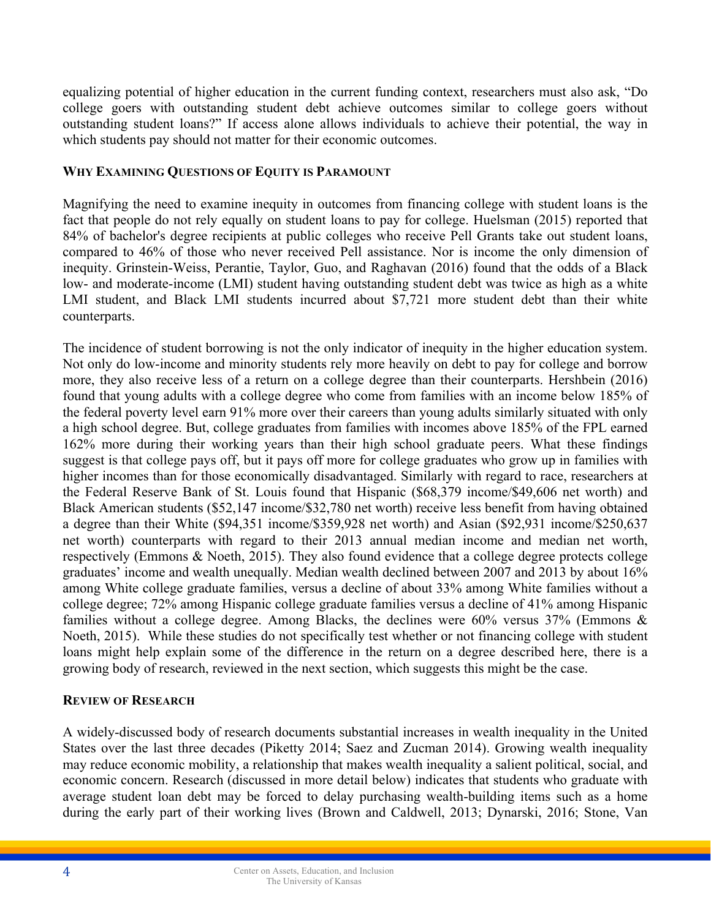equalizing potential of higher education in the current funding context, researchers must also ask, "Do college goers with outstanding student debt achieve outcomes similar to college goers without outstanding student loans?" If access alone allows individuals to achieve their potential, the way in which students pay should not matter for their economic outcomes.

## **WHY EXAMINING QUESTIONS OF EQUITY IS PARAMOUNT**

Magnifying the need to examine inequity in outcomes from financing college with student loans is the fact that people do not rely equally on student loans to pay for college. Huelsman (2015) reported that 84% of bachelor's degree recipients at public colleges who receive Pell Grants take out student loans, compared to 46% of those who never received Pell assistance. Nor is income the only dimension of inequity. Grinstein-Weiss, Perantie, Taylor, Guo, and Raghavan (2016) found that the odds of a Black low- and moderate-income (LMI) student having outstanding student debt was twice as high as a white LMI student, and Black LMI students incurred about \$7,721 more student debt than their white counterparts.

The incidence of student borrowing is not the only indicator of inequity in the higher education system. Not only do low-income and minority students rely more heavily on debt to pay for college and borrow more, they also receive less of a return on a college degree than their counterparts. Hershbein (2016) found that young adults with a college degree who come from families with an income below 185% of the federal poverty level earn 91% more over their careers than young adults similarly situated with only a high school degree. But, college graduates from families with incomes above 185% of the FPL earned 162% more during their working years than their high school graduate peers. What these findings suggest is that college pays off, but it pays off more for college graduates who grow up in families with higher incomes than for those economically disadvantaged. Similarly with regard to race, researchers at the Federal Reserve Bank of St. Louis found that Hispanic (\$68,379 income/\$49,606 net worth) and Black American students (\$52,147 income/\$32,780 net worth) receive less benefit from having obtained a degree than their White (\$94,351 income/\$359,928 net worth) and Asian (\$92,931 income/\$250,637 net worth) counterparts with regard to their 2013 annual median income and median net worth, respectively (Emmons & Noeth, 2015). They also found evidence that a college degree protects college graduates' income and wealth unequally. Median wealth declined between 2007 and 2013 by about 16% among White college graduate families, versus a decline of about 33% among White families without a college degree; 72% among Hispanic college graduate families versus a decline of 41% among Hispanic families without a college degree. Among Blacks, the declines were 60% versus 37% (Emmons & Noeth, 2015). While these studies do not specifically test whether or not financing college with student loans might help explain some of the difference in the return on a degree described here, there is a growing body of research, reviewed in the next section, which suggests this might be the case.

#### **REVIEW OF RESEARCH**

A widely-discussed body of research documents substantial increases in wealth inequality in the United States over the last three decades (Piketty 2014; Saez and Zucman 2014). Growing wealth inequality may reduce economic mobility, a relationship that makes wealth inequality a salient political, social, and economic concern. Research (discussed in more detail below) indicates that students who graduate with average student loan debt may be forced to delay purchasing wealth-building items such as a home during the early part of their working lives (Brown and Caldwell, 2013; Dynarski, 2016; Stone, Van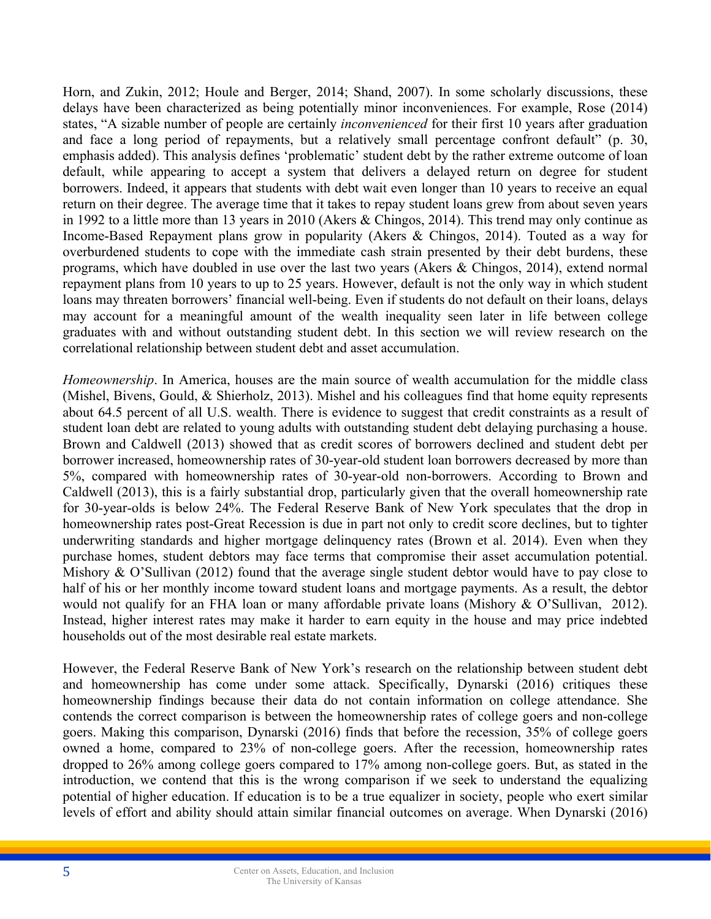Horn, and Zukin, 2012; Houle and Berger, 2014; Shand, 2007). In some scholarly discussions, these delays have been characterized as being potentially minor inconveniences. For example, Rose (2014) states, "A sizable number of people are certainly *inconvenienced* for their first 10 years after graduation and face a long period of repayments, but a relatively small percentage confront default" (p. 30, emphasis added). This analysis defines 'problematic' student debt by the rather extreme outcome of loan default, while appearing to accept a system that delivers a delayed return on degree for student borrowers. Indeed, it appears that students with debt wait even longer than 10 years to receive an equal return on their degree. The average time that it takes to repay student loans grew from about seven years in 1992 to a little more than 13 years in 2010 (Akers & Chingos, 2014). This trend may only continue as Income-Based Repayment plans grow in popularity (Akers & Chingos, 2014). Touted as a way for overburdened students to cope with the immediate cash strain presented by their debt burdens, these programs, which have doubled in use over the last two years (Akers & Chingos, 2014), extend normal repayment plans from 10 years to up to 25 years. However, default is not the only way in which student loans may threaten borrowers' financial well-being. Even if students do not default on their loans, delays may account for a meaningful amount of the wealth inequality seen later in life between college graduates with and without outstanding student debt. In this section we will review research on the correlational relationship between student debt and asset accumulation.

*Homeownership*. In America, houses are the main source of wealth accumulation for the middle class (Mishel, Bivens, Gould, & Shierholz, 2013). Mishel and his colleagues find that home equity represents about 64.5 percent of all U.S. wealth. There is evidence to suggest that credit constraints as a result of student loan debt are related to young adults with outstanding student debt delaying purchasing a house. Brown and Caldwell (2013) showed that as credit scores of borrowers declined and student debt per borrower increased, homeownership rates of 30-year-old student loan borrowers decreased by more than 5%, compared with homeownership rates of 30-year-old non-borrowers. According to Brown and Caldwell (2013), this is a fairly substantial drop, particularly given that the overall homeownership rate for 30-year-olds is below 24%. The Federal Reserve Bank of New York speculates that the drop in homeownership rates post-Great Recession is due in part not only to credit score declines, but to tighter underwriting standards and higher mortgage delinquency rates (Brown et al. 2014). Even when they purchase homes, student debtors may face terms that compromise their asset accumulation potential. Mishory & O'Sullivan (2012) found that the average single student debtor would have to pay close to half of his or her monthly income toward student loans and mortgage payments. As a result, the debtor would not qualify for an FHA loan or many affordable private loans (Mishory & O'Sullivan, 2012). Instead, higher interest rates may make it harder to earn equity in the house and may price indebted households out of the most desirable real estate markets.

However, the Federal Reserve Bank of New York's research on the relationship between student debt and homeownership has come under some attack. Specifically, Dynarski (2016) critiques these homeownership findings because their data do not contain information on college attendance. She contends the correct comparison is between the homeownership rates of college goers and non-college goers. Making this comparison, Dynarski (2016) finds that before the recession, 35% of college goers owned a home, compared to 23% of non-college goers. After the recession, homeownership rates dropped to 26% among college goers compared to 17% among non-college goers. But, as stated in the introduction, we contend that this is the wrong comparison if we seek to understand the equalizing potential of higher education. If education is to be a true equalizer in society, people who exert similar levels of effort and ability should attain similar financial outcomes on average. When Dynarski (2016)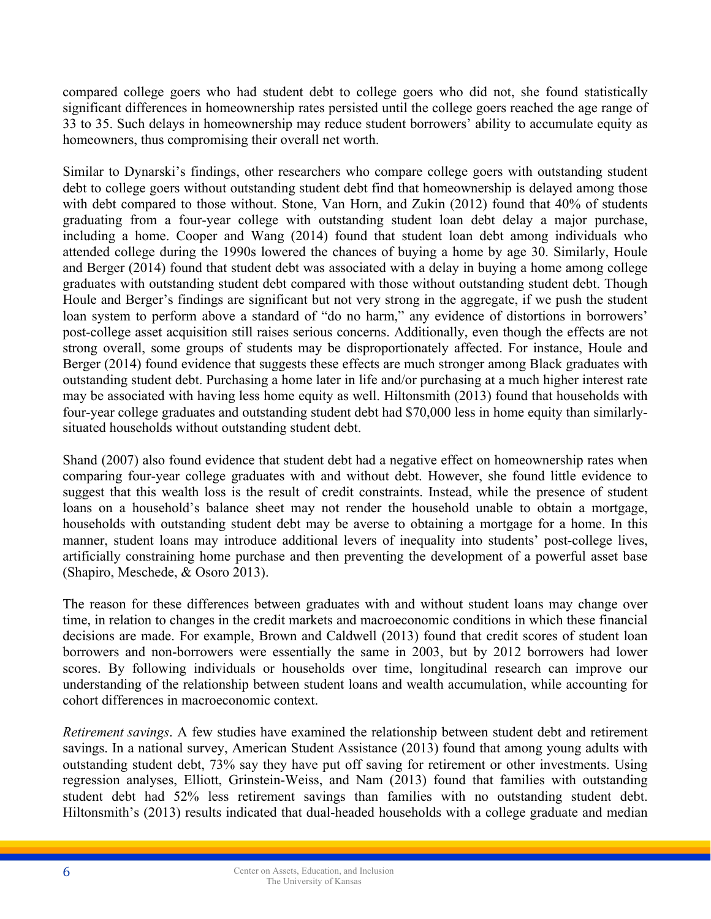compared college goers who had student debt to college goers who did not, she found statistically significant differences in homeownership rates persisted until the college goers reached the age range of 33 to 35. Such delays in homeownership may reduce student borrowers' ability to accumulate equity as homeowners, thus compromising their overall net worth.

Similar to Dynarski's findings, other researchers who compare college goers with outstanding student debt to college goers without outstanding student debt find that homeownership is delayed among those with debt compared to those without. Stone, Van Horn, and Zukin (2012) found that 40% of students graduating from a four-year college with outstanding student loan debt delay a major purchase, including a home. Cooper and Wang (2014) found that student loan debt among individuals who attended college during the 1990s lowered the chances of buying a home by age 30. Similarly, Houle and Berger (2014) found that student debt was associated with a delay in buying a home among college graduates with outstanding student debt compared with those without outstanding student debt. Though Houle and Berger's findings are significant but not very strong in the aggregate, if we push the student loan system to perform above a standard of "do no harm," any evidence of distortions in borrowers' post-college asset acquisition still raises serious concerns. Additionally, even though the effects are not strong overall, some groups of students may be disproportionately affected. For instance, Houle and Berger (2014) found evidence that suggests these effects are much stronger among Black graduates with outstanding student debt. Purchasing a home later in life and/or purchasing at a much higher interest rate may be associated with having less home equity as well. Hiltonsmith (2013) found that households with four-year college graduates and outstanding student debt had \$70,000 less in home equity than similarlysituated households without outstanding student debt.

Shand (2007) also found evidence that student debt had a negative effect on homeownership rates when comparing four-year college graduates with and without debt. However, she found little evidence to suggest that this wealth loss is the result of credit constraints. Instead, while the presence of student loans on a household's balance sheet may not render the household unable to obtain a mortgage, households with outstanding student debt may be averse to obtaining a mortgage for a home. In this manner, student loans may introduce additional levers of inequality into students' post-college lives, artificially constraining home purchase and then preventing the development of a powerful asset base (Shapiro, Meschede, & Osoro 2013).

The reason for these differences between graduates with and without student loans may change over time, in relation to changes in the credit markets and macroeconomic conditions in which these financial decisions are made. For example, Brown and Caldwell (2013) found that credit scores of student loan borrowers and non-borrowers were essentially the same in 2003, but by 2012 borrowers had lower scores. By following individuals or households over time, longitudinal research can improve our understanding of the relationship between student loans and wealth accumulation, while accounting for cohort differences in macroeconomic context.

*Retirement savings*. A few studies have examined the relationship between student debt and retirement savings. In a national survey, American Student Assistance (2013) found that among young adults with outstanding student debt, 73% say they have put off saving for retirement or other investments. Using regression analyses, Elliott, Grinstein-Weiss, and Nam (2013) found that families with outstanding student debt had 52% less retirement savings than families with no outstanding student debt. Hiltonsmith's (2013) results indicated that dual-headed households with a college graduate and median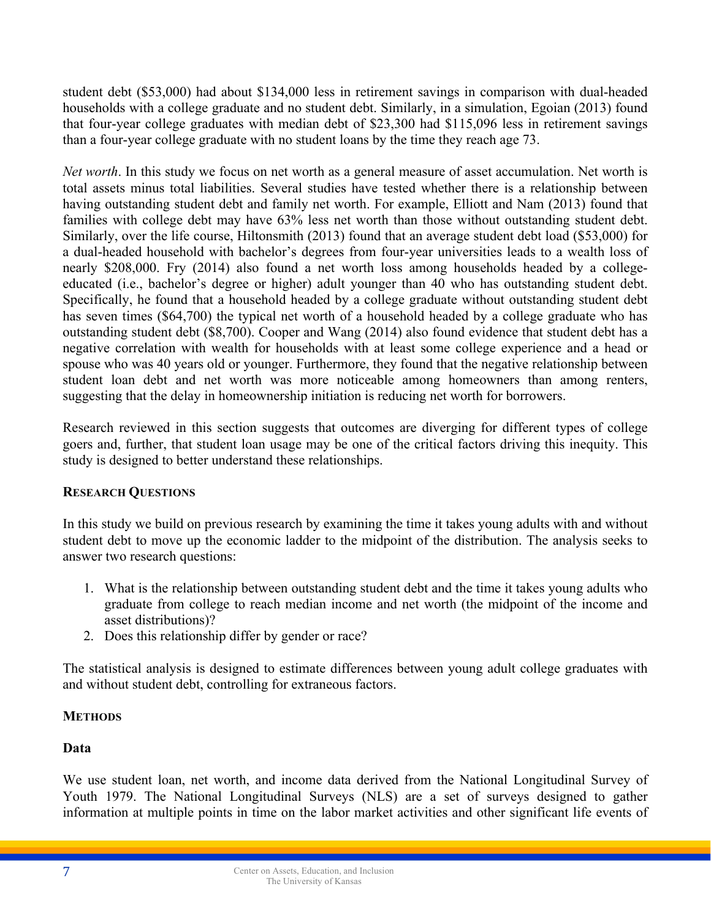student debt (\$53,000) had about \$134,000 less in retirement savings in comparison with dual-headed households with a college graduate and no student debt. Similarly, in a simulation, Egoian (2013) found that four-year college graduates with median debt of \$23,300 had \$115,096 less in retirement savings than a four-year college graduate with no student loans by the time they reach age 73.

*Net worth*. In this study we focus on net worth as a general measure of asset accumulation. Net worth is total assets minus total liabilities. Several studies have tested whether there is a relationship between having outstanding student debt and family net worth. For example, Elliott and Nam (2013) found that families with college debt may have 63% less net worth than those without outstanding student debt. Similarly, over the life course, Hiltonsmith (2013) found that an average student debt load (\$53,000) for a dual-headed household with bachelor's degrees from four-year universities leads to a wealth loss of nearly \$208,000. Fry (2014) also found a net worth loss among households headed by a collegeeducated (i.e., bachelor's degree or higher) adult younger than 40 who has outstanding student debt. Specifically, he found that a household headed by a college graduate without outstanding student debt has seven times (\$64,700) the typical net worth of a household headed by a college graduate who has outstanding student debt (\$8,700). Cooper and Wang (2014) also found evidence that student debt has a negative correlation with wealth for households with at least some college experience and a head or spouse who was 40 years old or younger. Furthermore, they found that the negative relationship between student loan debt and net worth was more noticeable among homeowners than among renters, suggesting that the delay in homeownership initiation is reducing net worth for borrowers.

Research reviewed in this section suggests that outcomes are diverging for different types of college goers and, further, that student loan usage may be one of the critical factors driving this inequity. This study is designed to better understand these relationships.

## **RESEARCH QUESTIONS**

In this study we build on previous research by examining the time it takes young adults with and without student debt to move up the economic ladder to the midpoint of the distribution. The analysis seeks to answer two research questions:

- 1. What is the relationship between outstanding student debt and the time it takes young adults who graduate from college to reach median income and net worth (the midpoint of the income and asset distributions)?
- 2. Does this relationship differ by gender or race?

The statistical analysis is designed to estimate differences between young adult college graduates with and without student debt, controlling for extraneous factors.

## **METHODS**

# **Data**

We use student loan, net worth, and income data derived from the National Longitudinal Survey of Youth 1979. The National Longitudinal Surveys (NLS) are a set of surveys designed to gather information at multiple points in time on the labor market activities and other significant life events of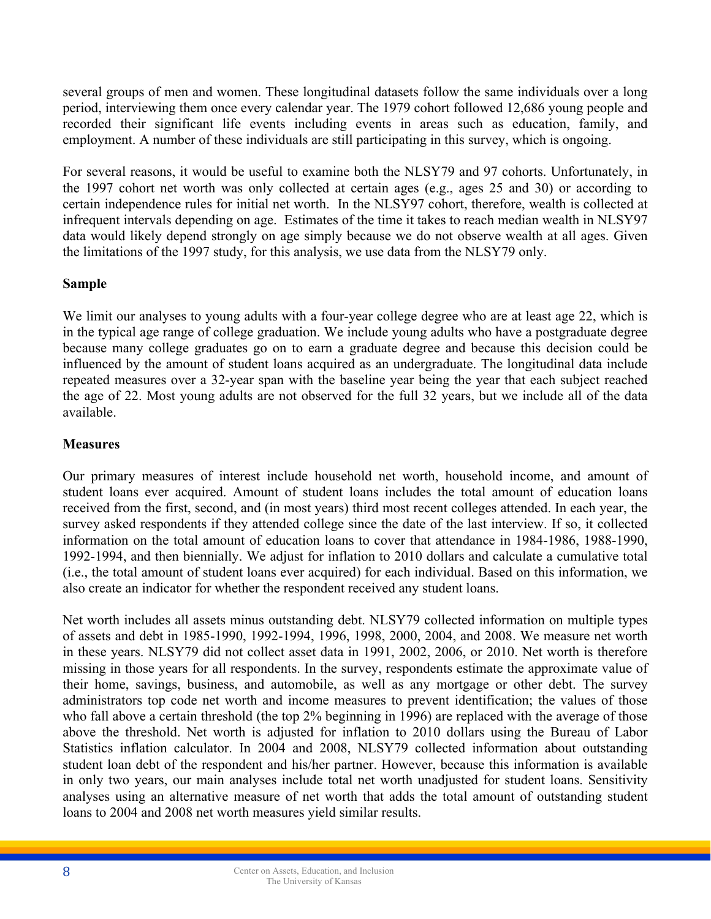several groups of men and women. These longitudinal datasets follow the same individuals over a long period, interviewing them once every calendar year. The 1979 cohort followed 12,686 young people and recorded their significant life events including events in areas such as education, family, and employment. A number of these individuals are still participating in this survey, which is ongoing.

For several reasons, it would be useful to examine both the NLSY79 and 97 cohorts. Unfortunately, in the 1997 cohort net worth was only collected at certain ages (e.g., ages 25 and 30) or according to certain independence rules for initial net worth. In the NLSY97 cohort, therefore, wealth is collected at infrequent intervals depending on age. Estimates of the time it takes to reach median wealth in NLSY97 data would likely depend strongly on age simply because we do not observe wealth at all ages. Given the limitations of the 1997 study, for this analysis, we use data from the NLSY79 only.

# **Sample**

We limit our analyses to young adults with a four-year college degree who are at least age 22, which is in the typical age range of college graduation. We include young adults who have a postgraduate degree because many college graduates go on to earn a graduate degree and because this decision could be influenced by the amount of student loans acquired as an undergraduate. The longitudinal data include repeated measures over a 32-year span with the baseline year being the year that each subject reached the age of 22. Most young adults are not observed for the full 32 years, but we include all of the data available.

# **Measures**

Our primary measures of interest include household net worth, household income, and amount of student loans ever acquired. Amount of student loans includes the total amount of education loans received from the first, second, and (in most years) third most recent colleges attended. In each year, the survey asked respondents if they attended college since the date of the last interview. If so, it collected information on the total amount of education loans to cover that attendance in 1984-1986, 1988-1990, 1992-1994, and then biennially. We adjust for inflation to 2010 dollars and calculate a cumulative total (i.e., the total amount of student loans ever acquired) for each individual. Based on this information, we also create an indicator for whether the respondent received any student loans.

Net worth includes all assets minus outstanding debt. NLSY79 collected information on multiple types of assets and debt in 1985-1990, 1992-1994, 1996, 1998, 2000, 2004, and 2008. We measure net worth in these years. NLSY79 did not collect asset data in 1991, 2002, 2006, or 2010. Net worth is therefore missing in those years for all respondents. In the survey, respondents estimate the approximate value of their home, savings, business, and automobile, as well as any mortgage or other debt. The survey administrators top code net worth and income measures to prevent identification; the values of those who fall above a certain threshold (the top 2% beginning in 1996) are replaced with the average of those above the threshold. Net worth is adjusted for inflation to 2010 dollars using the Bureau of Labor Statistics inflation calculator. In 2004 and 2008, NLSY79 collected information about outstanding student loan debt of the respondent and his/her partner. However, because this information is available in only two years, our main analyses include total net worth unadjusted for student loans. Sensitivity analyses using an alternative measure of net worth that adds the total amount of outstanding student loans to 2004 and 2008 net worth measures yield similar results.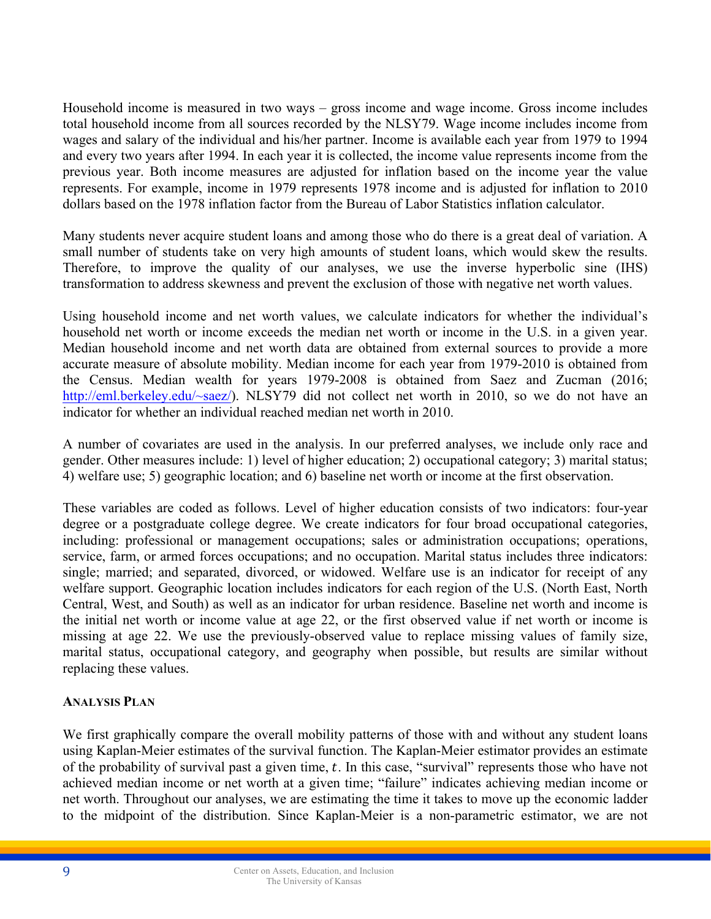Household income is measured in two ways – gross income and wage income. Gross income includes total household income from all sources recorded by the NLSY79. Wage income includes income from wages and salary of the individual and his/her partner. Income is available each year from 1979 to 1994 and every two years after 1994. In each year it is collected, the income value represents income from the previous year. Both income measures are adjusted for inflation based on the income year the value represents. For example, income in 1979 represents 1978 income and is adjusted for inflation to 2010 dollars based on the 1978 inflation factor from the Bureau of Labor Statistics inflation calculator.

Many students never acquire student loans and among those who do there is a great deal of variation. A small number of students take on very high amounts of student loans, which would skew the results. Therefore, to improve the quality of our analyses, we use the inverse hyperbolic sine (IHS) transformation to address skewness and prevent the exclusion of those with negative net worth values.

Using household income and net worth values, we calculate indicators for whether the individual's household net worth or income exceeds the median net worth or income in the U.S. in a given year. Median household income and net worth data are obtained from external sources to provide a more accurate measure of absolute mobility. Median income for each year from 1979-2010 is obtained from the Census. Median wealth for years 1979-2008 is obtained from Saez and Zucman (2016; http://eml.berkeley.edu/~saez/). NLSY79 did not collect net worth in 2010, so we do not have an indicator for whether an individual reached median net worth in 2010.

A number of covariates are used in the analysis. In our preferred analyses, we include only race and gender. Other measures include: 1) level of higher education; 2) occupational category; 3) marital status; 4) welfare use; 5) geographic location; and 6) baseline net worth or income at the first observation.

These variables are coded as follows. Level of higher education consists of two indicators: four-year degree or a postgraduate college degree. We create indicators for four broad occupational categories, including: professional or management occupations; sales or administration occupations; operations, service, farm, or armed forces occupations; and no occupation. Marital status includes three indicators: single; married; and separated, divorced, or widowed. Welfare use is an indicator for receipt of any welfare support. Geographic location includes indicators for each region of the U.S. (North East, North Central, West, and South) as well as an indicator for urban residence. Baseline net worth and income is the initial net worth or income value at age 22, or the first observed value if net worth or income is missing at age 22. We use the previously-observed value to replace missing values of family size, marital status, occupational category, and geography when possible, but results are similar without replacing these values.

## **ANALYSIS PLAN**

We first graphically compare the overall mobility patterns of those with and without any student loans using Kaplan-Meier estimates of the survival function. The Kaplan-Meier estimator provides an estimate of the probability of survival past a given time,  $t$ . In this case, "survival" represents those who have not achieved median income or net worth at a given time; "failure" indicates achieving median income or net worth. Throughout our analyses, we are estimating the time it takes to move up the economic ladder to the midpoint of the distribution. Since Kaplan-Meier is a non-parametric estimator, we are not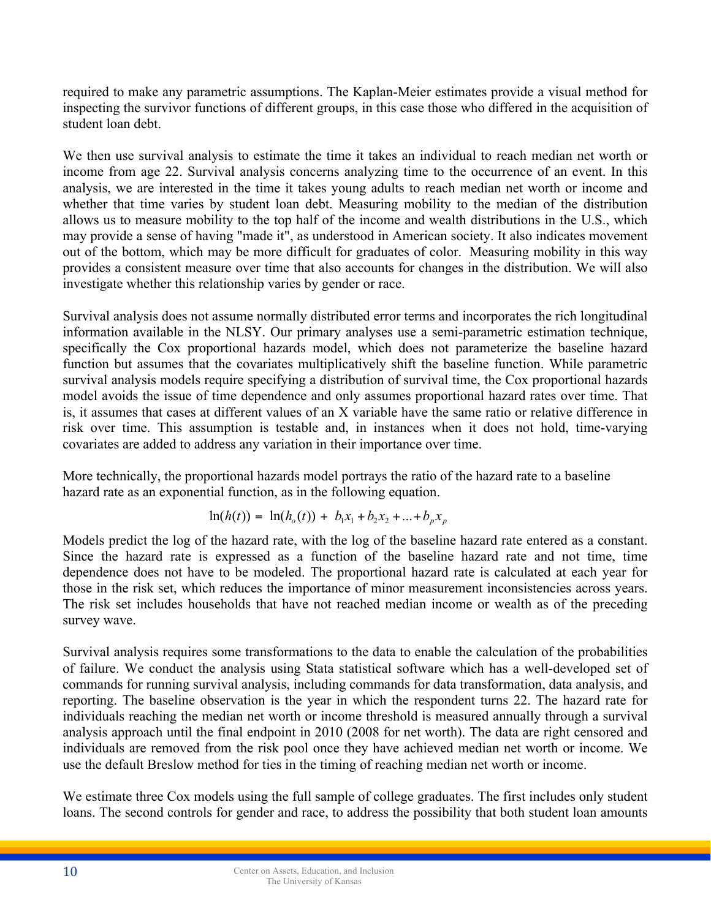required to make any parametric assumptions. The Kaplan-Meier estimates provide a visual method for inspecting the survivor functions of different groups, in this case those who differed in the acquisition of student loan debt.

We then use survival analysis to estimate the time it takes an individual to reach median net worth or income from age 22. Survival analysis concerns analyzing time to the occurrence of an event. In this analysis, we are interested in the time it takes young adults to reach median net worth or income and whether that time varies by student loan debt. Measuring mobility to the median of the distribution allows us to measure mobility to the top half of the income and wealth distributions in the U.S., which may provide a sense of having "made it", as understood in American society. It also indicates movement out of the bottom, which may be more difficult for graduates of color. Measuring mobility in this way provides a consistent measure over time that also accounts for changes in the distribution. We will also investigate whether this relationship varies by gender or race.

Survival analysis does not assume normally distributed error terms and incorporates the rich longitudinal information available in the NLSY. Our primary analyses use a semi-parametric estimation technique, specifically the Cox proportional hazards model, which does not parameterize the baseline hazard function but assumes that the covariates multiplicatively shift the baseline function. While parametric survival analysis models require specifying a distribution of survival time, the Cox proportional hazards model avoids the issue of time dependence and only assumes proportional hazard rates over time. That is, it assumes that cases at different values of an X variable have the same ratio or relative difference in risk over time. This assumption is testable and, in instances when it does not hold, time-varying covariates are added to address any variation in their importance over time.

More technically, the proportional hazards model portrays the ratio of the hazard rate to a baseline hazard rate as an exponential function, as in the following equation.

$$
\ln(h(t)) = \ln(h_o(t)) + b_1 x_1 + b_2 x_2 + \dots + b_p x_p
$$

Models predict the log of the hazard rate, with the log of the baseline hazard rate entered as a constant. Since the hazard rate is expressed as a function of the baseline hazard rate and not time, time dependence does not have to be modeled. The proportional hazard rate is calculated at each year for those in the risk set, which reduces the importance of minor measurement inconsistencies across years. The risk set includes households that have not reached median income or wealth as of the preceding survey wave.

Survival analysis requires some transformations to the data to enable the calculation of the probabilities of failure. We conduct the analysis using Stata statistical software which has a well-developed set of commands for running survival analysis, including commands for data transformation, data analysis, and reporting. The baseline observation is the year in which the respondent turns 22. The hazard rate for individuals reaching the median net worth or income threshold is measured annually through a survival analysis approach until the final endpoint in 2010 (2008 for net worth). The data are right censored and individuals are removed from the risk pool once they have achieved median net worth or income. We use the default Breslow method for ties in the timing of reaching median net worth or income.

We estimate three Cox models using the full sample of college graduates. The first includes only student loans. The second controls for gender and race, to address the possibility that both student loan amounts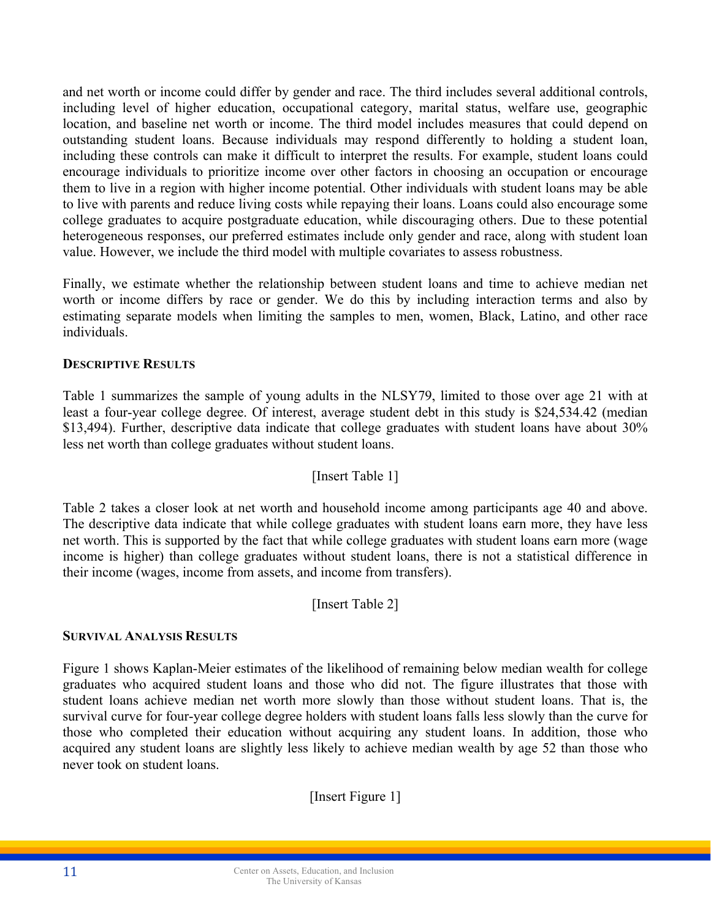and net worth or income could differ by gender and race. The third includes several additional controls, including level of higher education, occupational category, marital status, welfare use, geographic location, and baseline net worth or income. The third model includes measures that could depend on outstanding student loans. Because individuals may respond differently to holding a student loan, including these controls can make it difficult to interpret the results. For example, student loans could encourage individuals to prioritize income over other factors in choosing an occupation or encourage them to live in a region with higher income potential. Other individuals with student loans may be able to live with parents and reduce living costs while repaying their loans. Loans could also encourage some college graduates to acquire postgraduate education, while discouraging others. Due to these potential heterogeneous responses, our preferred estimates include only gender and race, along with student loan value. However, we include the third model with multiple covariates to assess robustness.

Finally, we estimate whether the relationship between student loans and time to achieve median net worth or income differs by race or gender. We do this by including interaction terms and also by estimating separate models when limiting the samples to men, women, Black, Latino, and other race individuals.

## **DESCRIPTIVE RESULTS**

Table 1 summarizes the sample of young adults in the NLSY79, limited to those over age 21 with at least a four-year college degree. Of interest, average student debt in this study is \$24,534.42 (median \$13,494). Further, descriptive data indicate that college graduates with student loans have about 30% less net worth than college graduates without student loans.

## [Insert Table 1]

Table 2 takes a closer look at net worth and household income among participants age 40 and above. The descriptive data indicate that while college graduates with student loans earn more, they have less net worth. This is supported by the fact that while college graduates with student loans earn more (wage income is higher) than college graduates without student loans, there is not a statistical difference in their income (wages, income from assets, and income from transfers).

[Insert Table 2]

#### **SURVIVAL ANALYSIS RESULTS**

Figure 1 shows Kaplan-Meier estimates of the likelihood of remaining below median wealth for college graduates who acquired student loans and those who did not. The figure illustrates that those with student loans achieve median net worth more slowly than those without student loans. That is, the survival curve for four-year college degree holders with student loans falls less slowly than the curve for those who completed their education without acquiring any student loans. In addition, those who acquired any student loans are slightly less likely to achieve median wealth by age 52 than those who never took on student loans.

[Insert Figure 1]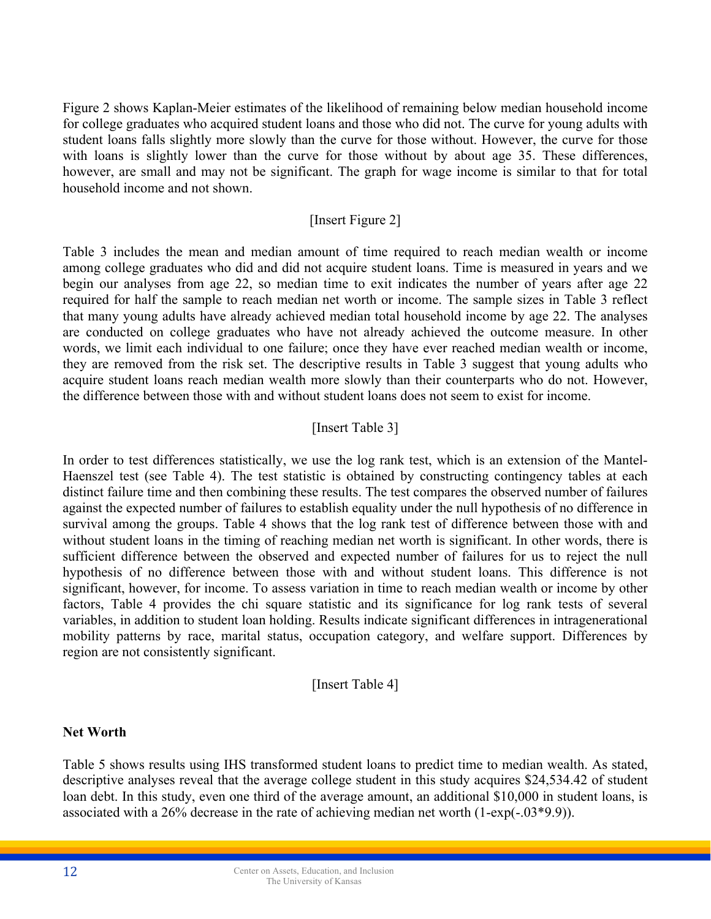Figure 2 shows Kaplan-Meier estimates of the likelihood of remaining below median household income for college graduates who acquired student loans and those who did not. The curve for young adults with student loans falls slightly more slowly than the curve for those without. However, the curve for those with loans is slightly lower than the curve for those without by about age 35. These differences, however, are small and may not be significant. The graph for wage income is similar to that for total household income and not shown.

## [Insert Figure 2]

Table 3 includes the mean and median amount of time required to reach median wealth or income among college graduates who did and did not acquire student loans. Time is measured in years and we begin our analyses from age 22, so median time to exit indicates the number of years after age 22 required for half the sample to reach median net worth or income. The sample sizes in Table 3 reflect that many young adults have already achieved median total household income by age 22. The analyses are conducted on college graduates who have not already achieved the outcome measure. In other words, we limit each individual to one failure; once they have ever reached median wealth or income, they are removed from the risk set. The descriptive results in Table 3 suggest that young adults who acquire student loans reach median wealth more slowly than their counterparts who do not. However, the difference between those with and without student loans does not seem to exist for income.

## [Insert Table 3]

In order to test differences statistically, we use the log rank test, which is an extension of the Mantel-Haenszel test (see Table 4). The test statistic is obtained by constructing contingency tables at each distinct failure time and then combining these results. The test compares the observed number of failures against the expected number of failures to establish equality under the null hypothesis of no difference in survival among the groups. Table 4 shows that the log rank test of difference between those with and without student loans in the timing of reaching median net worth is significant. In other words, there is sufficient difference between the observed and expected number of failures for us to reject the null hypothesis of no difference between those with and without student loans. This difference is not significant, however, for income. To assess variation in time to reach median wealth or income by other factors, Table 4 provides the chi square statistic and its significance for log rank tests of several variables, in addition to student loan holding. Results indicate significant differences in intragenerational mobility patterns by race, marital status, occupation category, and welfare support. Differences by region are not consistently significant.

#### [Insert Table 4]

#### **Net Worth**

Table 5 shows results using IHS transformed student loans to predict time to median wealth. As stated, descriptive analyses reveal that the average college student in this study acquires \$24,534.42 of student loan debt. In this study, even one third of the average amount, an additional \$10,000 in student loans, is associated with a 26% decrease in the rate of achieving median net worth (1-exp(-.03\*9.9)).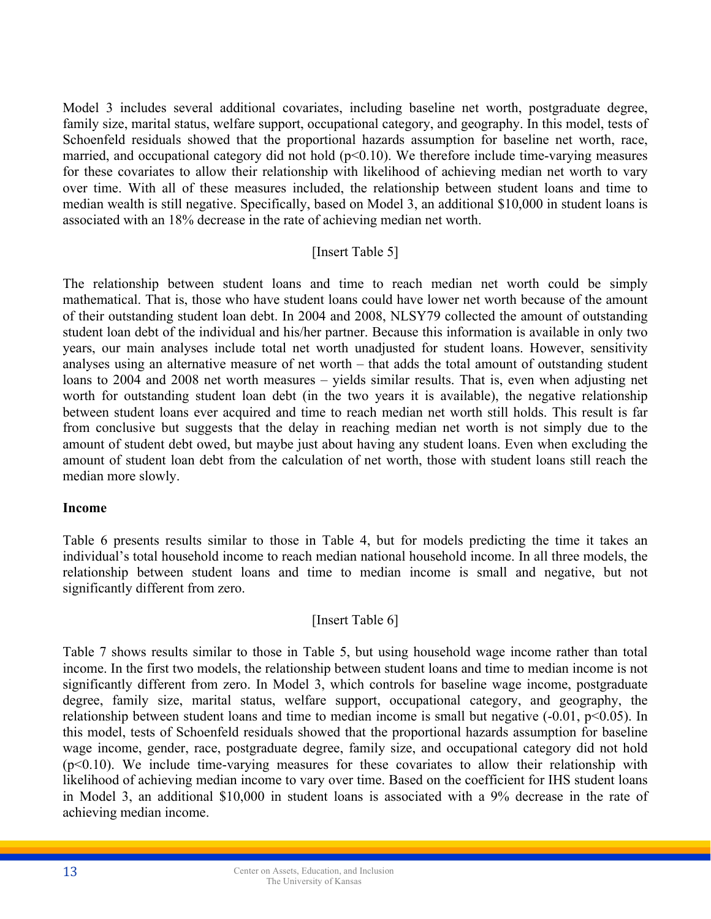Model 3 includes several additional covariates, including baseline net worth, postgraduate degree, family size, marital status, welfare support, occupational category, and geography. In this model, tests of Schoenfeld residuals showed that the proportional hazards assumption for baseline net worth, race, married, and occupational category did not hold  $(p<0.10)$ . We therefore include time-varying measures for these covariates to allow their relationship with likelihood of achieving median net worth to vary over time. With all of these measures included, the relationship between student loans and time to median wealth is still negative. Specifically, based on Model 3, an additional \$10,000 in student loans is associated with an 18% decrease in the rate of achieving median net worth.

## [Insert Table 5]

The relationship between student loans and time to reach median net worth could be simply mathematical. That is, those who have student loans could have lower net worth because of the amount of their outstanding student loan debt. In 2004 and 2008, NLSY79 collected the amount of outstanding student loan debt of the individual and his/her partner. Because this information is available in only two years, our main analyses include total net worth unadjusted for student loans. However, sensitivity analyses using an alternative measure of net worth – that adds the total amount of outstanding student loans to 2004 and 2008 net worth measures – yields similar results. That is, even when adjusting net worth for outstanding student loan debt (in the two years it is available), the negative relationship between student loans ever acquired and time to reach median net worth still holds. This result is far from conclusive but suggests that the delay in reaching median net worth is not simply due to the amount of student debt owed, but maybe just about having any student loans. Even when excluding the amount of student loan debt from the calculation of net worth, those with student loans still reach the median more slowly.

#### **Income**

Table 6 presents results similar to those in Table 4, but for models predicting the time it takes an individual's total household income to reach median national household income. In all three models, the relationship between student loans and time to median income is small and negative, but not significantly different from zero.

## [Insert Table 6]

Table 7 shows results similar to those in Table 5, but using household wage income rather than total income. In the first two models, the relationship between student loans and time to median income is not significantly different from zero. In Model 3, which controls for baseline wage income, postgraduate degree, family size, marital status, welfare support, occupational category, and geography, the relationship between student loans and time to median income is small but negative  $(-0.01, p<0.05)$ . In this model, tests of Schoenfeld residuals showed that the proportional hazards assumption for baseline wage income, gender, race, postgraduate degree, family size, and occupational category did not hold  $(p<0.10)$ . We include time-varying measures for these covariates to allow their relationship with likelihood of achieving median income to vary over time. Based on the coefficient for IHS student loans in Model 3, an additional \$10,000 in student loans is associated with a 9% decrease in the rate of achieving median income.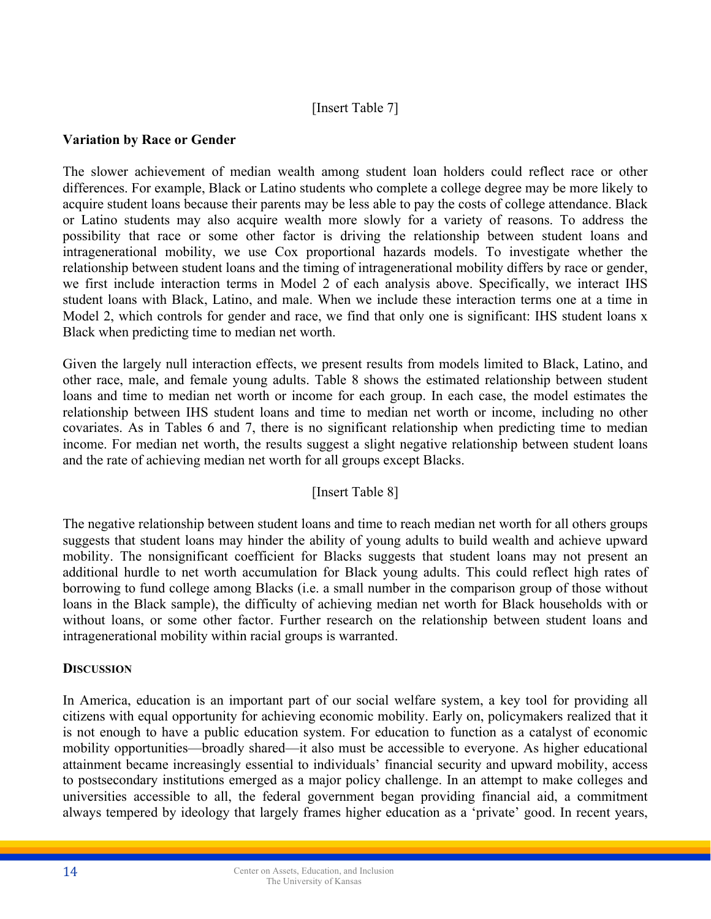# [Insert Table 7]

## **Variation by Race or Gender**

The slower achievement of median wealth among student loan holders could reflect race or other differences. For example, Black or Latino students who complete a college degree may be more likely to acquire student loans because their parents may be less able to pay the costs of college attendance. Black or Latino students may also acquire wealth more slowly for a variety of reasons. To address the possibility that race or some other factor is driving the relationship between student loans and intragenerational mobility, we use Cox proportional hazards models. To investigate whether the relationship between student loans and the timing of intragenerational mobility differs by race or gender, we first include interaction terms in Model 2 of each analysis above. Specifically, we interact IHS student loans with Black, Latino, and male. When we include these interaction terms one at a time in Model 2, which controls for gender and race, we find that only one is significant: IHS student loans x Black when predicting time to median net worth.

Given the largely null interaction effects, we present results from models limited to Black, Latino, and other race, male, and female young adults. Table 8 shows the estimated relationship between student loans and time to median net worth or income for each group. In each case, the model estimates the relationship between IHS student loans and time to median net worth or income, including no other covariates. As in Tables 6 and 7, there is no significant relationship when predicting time to median income. For median net worth, the results suggest a slight negative relationship between student loans and the rate of achieving median net worth for all groups except Blacks.

## [Insert Table 8]

The negative relationship between student loans and time to reach median net worth for all others groups suggests that student loans may hinder the ability of young adults to build wealth and achieve upward mobility. The nonsignificant coefficient for Blacks suggests that student loans may not present an additional hurdle to net worth accumulation for Black young adults. This could reflect high rates of borrowing to fund college among Blacks (i.e. a small number in the comparison group of those without loans in the Black sample), the difficulty of achieving median net worth for Black households with or without loans, or some other factor. Further research on the relationship between student loans and intragenerational mobility within racial groups is warranted.

#### **DISCUSSION**

In America, education is an important part of our social welfare system, a key tool for providing all citizens with equal opportunity for achieving economic mobility. Early on, policymakers realized that it is not enough to have a public education system. For education to function as a catalyst of economic mobility opportunities—broadly shared—it also must be accessible to everyone. As higher educational attainment became increasingly essential to individuals' financial security and upward mobility, access to postsecondary institutions emerged as a major policy challenge. In an attempt to make colleges and universities accessible to all, the federal government began providing financial aid, a commitment always tempered by ideology that largely frames higher education as a 'private' good. In recent years,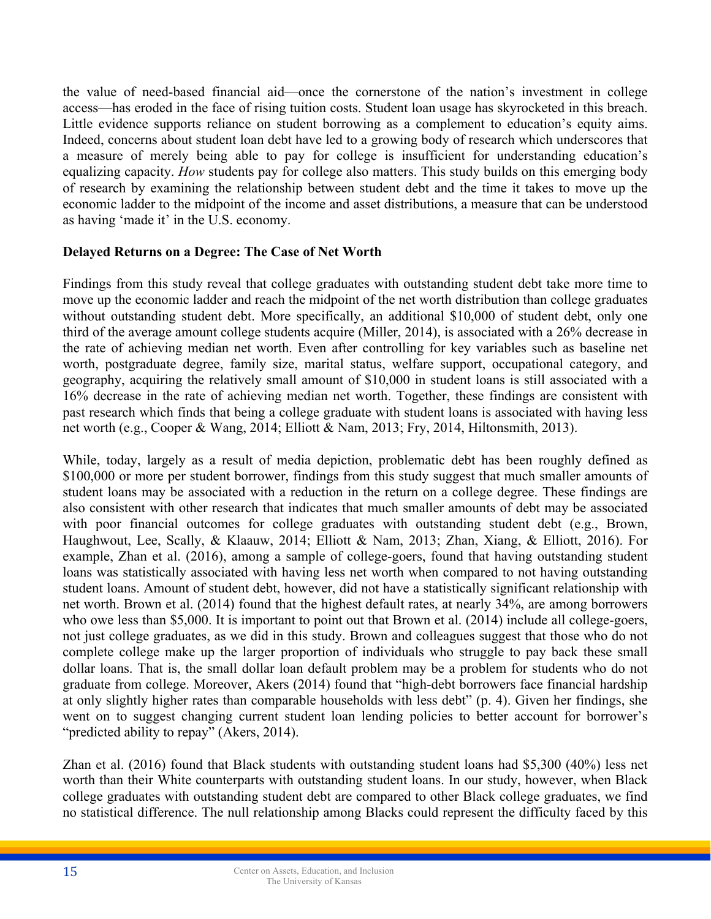the value of need-based financial aid—once the cornerstone of the nation's investment in college access—has eroded in the face of rising tuition costs. Student loan usage has skyrocketed in this breach. Little evidence supports reliance on student borrowing as a complement to education's equity aims. Indeed, concerns about student loan debt have led to a growing body of research which underscores that a measure of merely being able to pay for college is insufficient for understanding education's equalizing capacity. *How* students pay for college also matters. This study builds on this emerging body of research by examining the relationship between student debt and the time it takes to move up the economic ladder to the midpoint of the income and asset distributions, a measure that can be understood as having 'made it' in the U.S. economy.

# **Delayed Returns on a Degree: The Case of Net Worth**

Findings from this study reveal that college graduates with outstanding student debt take more time to move up the economic ladder and reach the midpoint of the net worth distribution than college graduates without outstanding student debt. More specifically, an additional \$10,000 of student debt, only one third of the average amount college students acquire (Miller, 2014), is associated with a 26% decrease in the rate of achieving median net worth. Even after controlling for key variables such as baseline net worth, postgraduate degree, family size, marital status, welfare support, occupational category, and geography, acquiring the relatively small amount of \$10,000 in student loans is still associated with a 16% decrease in the rate of achieving median net worth. Together, these findings are consistent with past research which finds that being a college graduate with student loans is associated with having less net worth (e.g., Cooper & Wang, 2014; Elliott & Nam, 2013; Fry, 2014, Hiltonsmith, 2013).

While, today, largely as a result of media depiction, problematic debt has been roughly defined as \$100,000 or more per student borrower, findings from this study suggest that much smaller amounts of student loans may be associated with a reduction in the return on a college degree. These findings are also consistent with other research that indicates that much smaller amounts of debt may be associated with poor financial outcomes for college graduates with outstanding student debt (e.g., Brown, Haughwout, Lee, Scally, & Klaauw, 2014; Elliott & Nam, 2013; Zhan, Xiang, & Elliott, 2016). For example, Zhan et al. (2016), among a sample of college-goers, found that having outstanding student loans was statistically associated with having less net worth when compared to not having outstanding student loans. Amount of student debt, however, did not have a statistically significant relationship with net worth. Brown et al. (2014) found that the highest default rates, at nearly 34%, are among borrowers who owe less than \$5,000. It is important to point out that Brown et al. (2014) include all college-goers, not just college graduates, as we did in this study. Brown and colleagues suggest that those who do not complete college make up the larger proportion of individuals who struggle to pay back these small dollar loans. That is, the small dollar loan default problem may be a problem for students who do not graduate from college. Moreover, Akers (2014) found that "high-debt borrowers face financial hardship at only slightly higher rates than comparable households with less debt" (p. 4). Given her findings, she went on to suggest changing current student loan lending policies to better account for borrower's "predicted ability to repay" (Akers, 2014).

Zhan et al. (2016) found that Black students with outstanding student loans had \$5,300 (40%) less net worth than their White counterparts with outstanding student loans. In our study, however, when Black college graduates with outstanding student debt are compared to other Black college graduates, we find no statistical difference. The null relationship among Blacks could represent the difficulty faced by this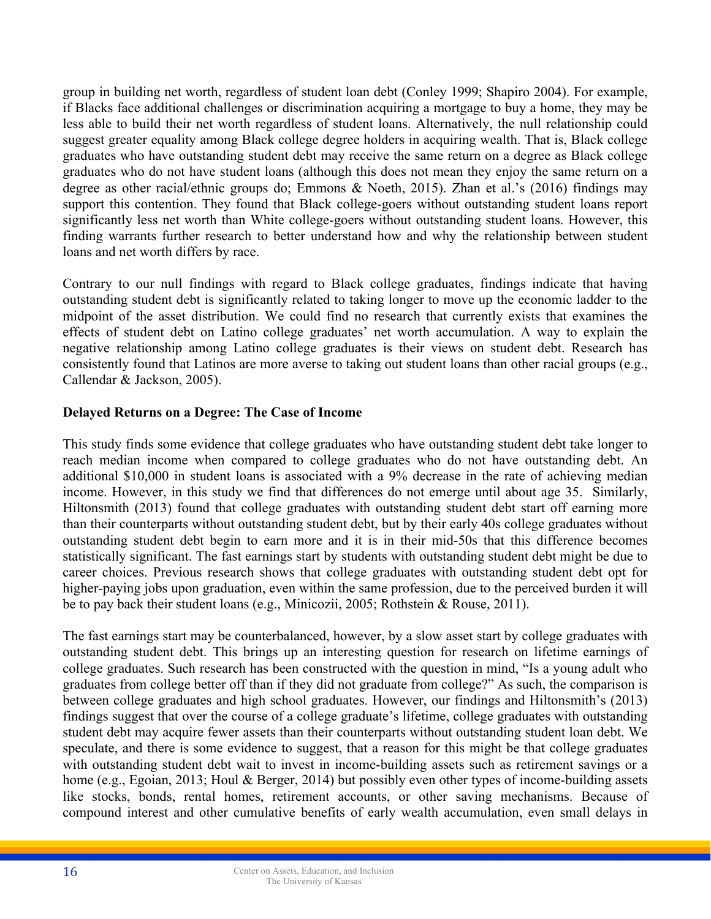group in building net worth, regardless of student loan debt (Conley 1999; Shapiro 2004). For example, if Blacks face additional challenges or discrimination acquiring a mortgage to buy a home, they may be less able to build their net worth regardless of student loans. Alternatively, the null relationship could suggest greater equality among Black college degree holders in acquiring wealth. That is, Black college graduates who have outstanding student debt may receive the same return on a degree as Black college graduates who do not have student loans (although this does not mean they enjoy the same return on a degree as other racial/ethnic groups do; Emmons & Noeth, 2015). Zhan et al.'s (2016) findings may support this contention. They found that Black college-goers without outstanding student loans report significantly less net worth than White college-goers without outstanding student loans. However, this finding warrants further research to better understand how and why the relationship between student loans and net worth differs by race.

Contrary to our null findings with regard to Black college graduates, findings indicate that having outstanding student debt is significantly related to taking longer to move up the economic ladder to the midpoint of the asset distribution. We could find no research that currently exists that examines the effects of student debt on Latino college graduates' net worth accumulation. A way to explain the negative relationship among Latino college graduates is their views on student debt. Research has consistently found that Latinos are more averse to taking out student loans than other racial groups (e.g., Callendar & Jackson, 2005).

## **Delayed Returns on a Degree: The Case of Income**

This study finds some evidence that college graduates who have outstanding student debt take longer to reach median income when compared to college graduates who do not have outstanding debt. An additional \$10,000 in student loans is associated with a 9% decrease in the rate of achieving median income. However, in this study we find that differences do not emerge until about age 35. Similarly, Hiltonsmith (2013) found that college graduates with outstanding student debt start off earning more than their counterparts without outstanding student debt, but by their early 40s college graduates without outstanding student debt begin to earn more and it is in their mid-50s that this difference becomes statistically significant. The fast earnings start by students with outstanding student debt might be due to career choices. Previous research shows that college graduates with outstanding student debt opt for higher-paying jobs upon graduation, even within the same profession, due to the perceived burden it will be to pay back their student loans (e.g., Minicozii, 2005; Rothstein & Rouse, 2011).

The fast earnings start may be counterbalanced, however, by a slow asset start by college graduates with outstanding student debt. This brings up an interesting question for research on lifetime earnings of college graduates. Such research has been constructed with the question in mind, "Is a young adult who graduates from college better off than if they did not graduate from college?" As such, the comparison is between college graduates and high school graduates. However, our findings and Hiltonsmith's (2013) findings suggest that over the course of a college graduate's lifetime, college graduates with outstanding student debt may acquire fewer assets than their counterparts without outstanding student loan debt. We speculate, and there is some evidence to suggest, that a reason for this might be that college graduates with outstanding student debt wait to invest in income-building assets such as retirement savings or a home (e.g., Egoian, 2013; Houl & Berger, 2014) but possibly even other types of income-building assets like stocks, bonds, rental homes, retirement accounts, or other saving mechanisms. Because of compound interest and other cumulative benefits of early wealth accumulation, even small delays in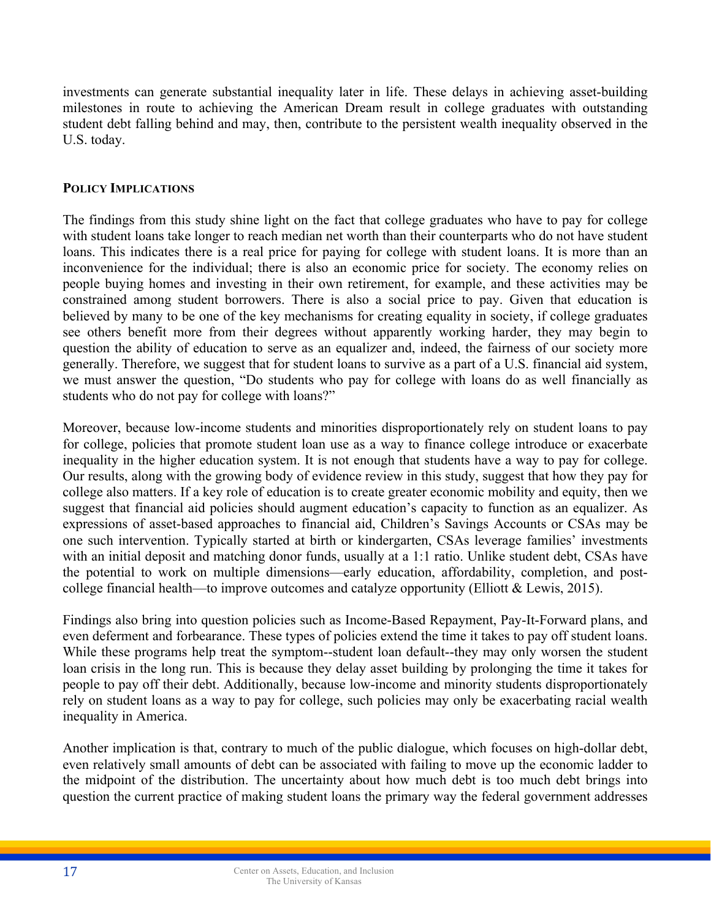investments can generate substantial inequality later in life. These delays in achieving asset-building milestones in route to achieving the American Dream result in college graduates with outstanding student debt falling behind and may, then, contribute to the persistent wealth inequality observed in the U.S. today.

## **POLICY IMPLICATIONS**

The findings from this study shine light on the fact that college graduates who have to pay for college with student loans take longer to reach median net worth than their counterparts who do not have student loans. This indicates there is a real price for paying for college with student loans. It is more than an inconvenience for the individual; there is also an economic price for society. The economy relies on people buying homes and investing in their own retirement, for example, and these activities may be constrained among student borrowers. There is also a social price to pay. Given that education is believed by many to be one of the key mechanisms for creating equality in society, if college graduates see others benefit more from their degrees without apparently working harder, they may begin to question the ability of education to serve as an equalizer and, indeed, the fairness of our society more generally. Therefore, we suggest that for student loans to survive as a part of a U.S. financial aid system, we must answer the question, "Do students who pay for college with loans do as well financially as students who do not pay for college with loans?"

Moreover, because low-income students and minorities disproportionately rely on student loans to pay for college, policies that promote student loan use as a way to finance college introduce or exacerbate inequality in the higher education system. It is not enough that students have a way to pay for college. Our results, along with the growing body of evidence review in this study, suggest that how they pay for college also matters. If a key role of education is to create greater economic mobility and equity, then we suggest that financial aid policies should augment education's capacity to function as an equalizer. As expressions of asset-based approaches to financial aid, Children's Savings Accounts or CSAs may be one such intervention. Typically started at birth or kindergarten, CSAs leverage families' investments with an initial deposit and matching donor funds, usually at a 1:1 ratio. Unlike student debt, CSAs have the potential to work on multiple dimensions—early education, affordability, completion, and postcollege financial health—to improve outcomes and catalyze opportunity (Elliott & Lewis, 2015).

Findings also bring into question policies such as Income-Based Repayment, Pay-It-Forward plans, and even deferment and forbearance. These types of policies extend the time it takes to pay off student loans. While these programs help treat the symptom--student loan default--they may only worsen the student loan crisis in the long run. This is because they delay asset building by prolonging the time it takes for people to pay off their debt. Additionally, because low-income and minority students disproportionately rely on student loans as a way to pay for college, such policies may only be exacerbating racial wealth inequality in America.

Another implication is that, contrary to much of the public dialogue, which focuses on high-dollar debt, even relatively small amounts of debt can be associated with failing to move up the economic ladder to the midpoint of the distribution. The uncertainty about how much debt is too much debt brings into question the current practice of making student loans the primary way the federal government addresses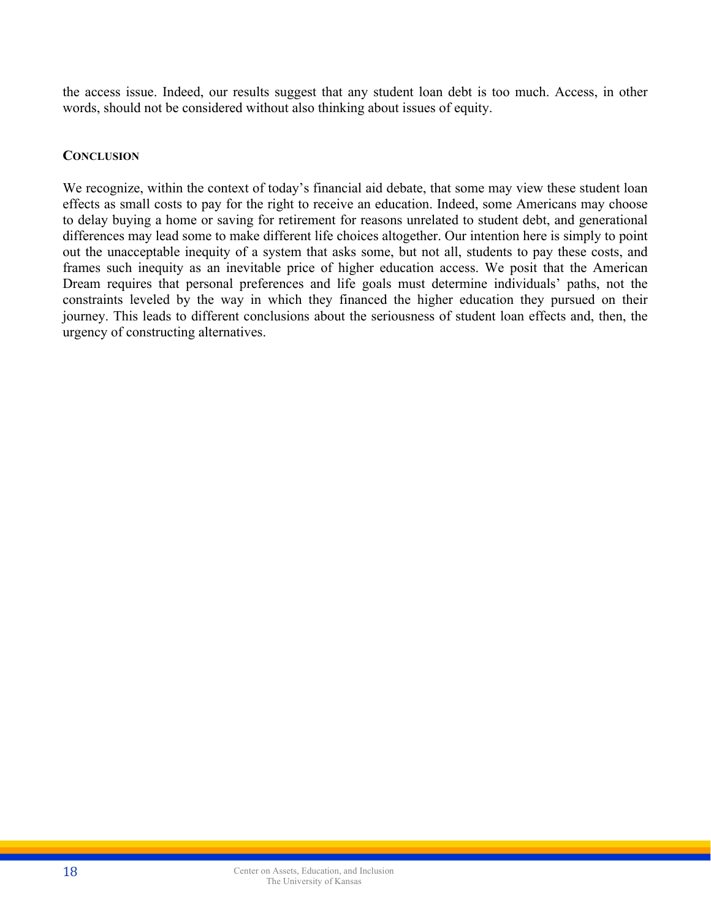the access issue. Indeed, our results suggest that any student loan debt is too much. Access, in other words, should not be considered without also thinking about issues of equity.

## **CONCLUSION**

We recognize, within the context of today's financial aid debate, that some may view these student loan effects as small costs to pay for the right to receive an education. Indeed, some Americans may choose to delay buying a home or saving for retirement for reasons unrelated to student debt, and generational differences may lead some to make different life choices altogether. Our intention here is simply to point out the unacceptable inequity of a system that asks some, but not all, students to pay these costs, and frames such inequity as an inevitable price of higher education access. We posit that the American Dream requires that personal preferences and life goals must determine individuals' paths, not the constraints leveled by the way in which they financed the higher education they pursued on their journey. This leads to different conclusions about the seriousness of student loan effects and, then, the urgency of constructing alternatives.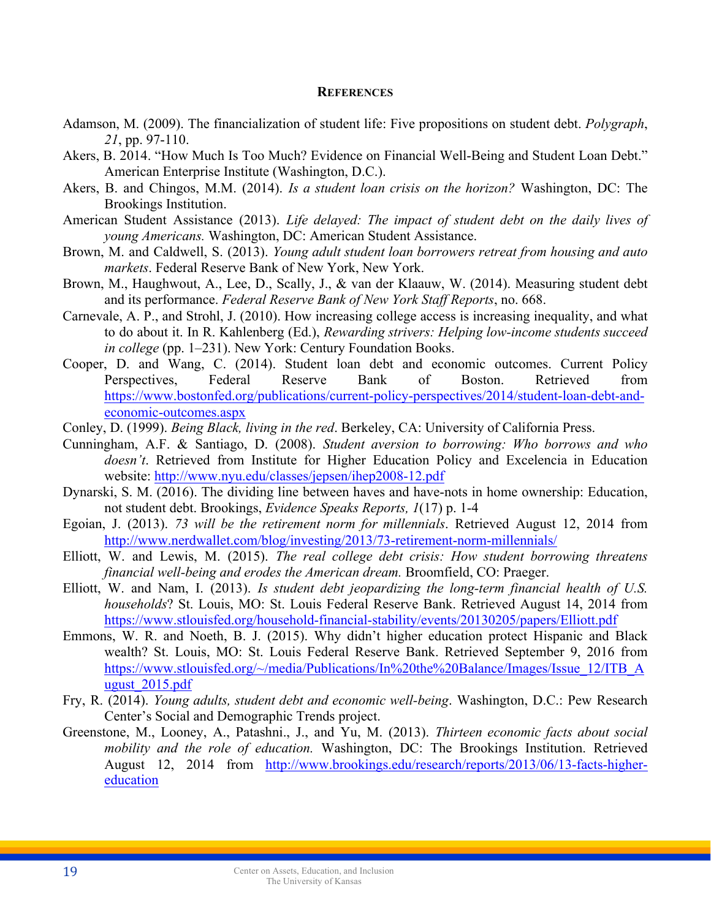#### **REFERENCES**

- Adamson, M. (2009). The financialization of student life: Five propositions on student debt. *Polygraph*, *21*, pp. 97-110.
- Akers, B. 2014. "How Much Is Too Much? Evidence on Financial Well-Being and Student Loan Debt." American Enterprise Institute (Washington, D.C.).
- Akers, B. and Chingos, M.M. (2014). *Is a student loan crisis on the horizon?* Washington, DC: The Brookings Institution.
- American Student Assistance (2013). *Life delayed: The impact of student debt on the daily lives of young Americans.* Washington, DC: American Student Assistance.
- Brown, M. and Caldwell, S. (2013). *Young adult student loan borrowers retreat from housing and auto markets*. Federal Reserve Bank of New York, New York.
- Brown, M., Haughwout, A., Lee, D., Scally, J., & van der Klaauw, W. (2014). Measuring student debt and its performance. *Federal Reserve Bank of New York Staff Reports*, no. 668.
- Carnevale, A. P., and Strohl, J. (2010). How increasing college access is increasing inequality, and what to do about it. In R. Kahlenberg (Ed.), *Rewarding strivers: Helping low-income students succeed in college* (pp. 1–231). New York: Century Foundation Books.
- Cooper, D. and Wang, C. (2014). Student loan debt and economic outcomes. Current Policy Perspectives, Federal Reserve Bank of Boston. Retrieved from https://www.bostonfed.org/publications/current-policy-perspectives/2014/student-loan-debt-andeconomic-outcomes.aspx
- Conley, D. (1999). *Being Black, living in the red*. Berkeley, CA: University of California Press.
- Cunningham, A.F. & Santiago, D. (2008). *Student aversion to borrowing: Who borrows and who doesn't*. Retrieved from Institute for Higher Education Policy and Excelencia in Education website: http://www.nyu.edu/classes/jepsen/ihep2008-12.pdf
- Dynarski, S. M. (2016). The dividing line between haves and have-nots in home ownership: Education, not student debt. Brookings, *Evidence Speaks Reports, 1*(17) p. 1-4
- Egoian, J. (2013). *73 will be the retirement norm for millennials*. Retrieved August 12, 2014 from http://www.nerdwallet.com/blog/investing/2013/73-retirement-norm-millennials/
- Elliott, W. and Lewis, M. (2015). *The real college debt crisis: How student borrowing threatens financial well-being and erodes the American dream.* Broomfield, CO: Praeger.
- Elliott, W. and Nam, I. (2013). *Is student debt jeopardizing the long-term financial health of U.S. households*? St. Louis, MO: St. Louis Federal Reserve Bank. Retrieved August 14, 2014 from https://www.stlouisfed.org/household-financial-stability/events/20130205/papers/Elliott.pdf
- Emmons, W. R. and Noeth, B. J. (2015). Why didn't higher education protect Hispanic and Black wealth? St. Louis, MO: St. Louis Federal Reserve Bank. Retrieved September 9, 2016 from https://www.stlouisfed.org/~/media/Publications/In%20the%20Balance/Images/Issue\_12/ITB\_A ugust\_2015.pdf
- Fry, R. (2014). *Young adults, student debt and economic well-being*. Washington, D.C.: Pew Research Center's Social and Demographic Trends project.
- Greenstone, M., Looney, A., Patashni., J., and Yu, M. (2013). *Thirteen economic facts about social mobility and the role of education.* Washington, DC: The Brookings Institution. Retrieved August 12, 2014 from http://www.brookings.edu/research/reports/2013/06/13-facts-highereducation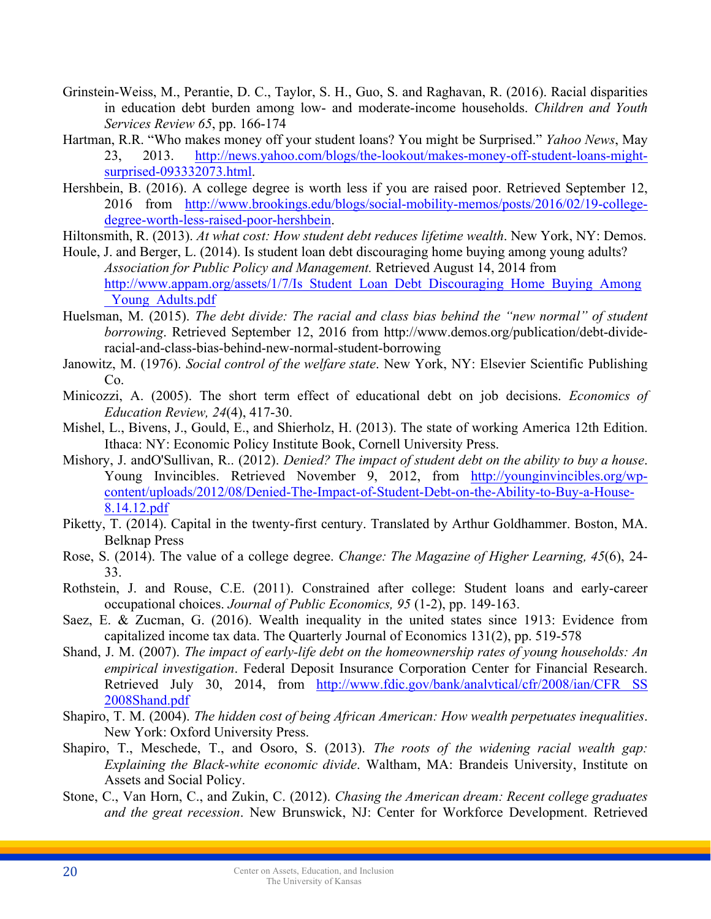- Grinstein-Weiss, M., Perantie, D. C., Taylor, S. H., Guo, S. and Raghavan, R. (2016). Racial disparities in education debt burden among low- and moderate-income households. *Children and Youth Services Review 65*, pp. 166-174
- Hartman, R.R. "Who makes money off your student loans? You might be Surprised." *Yahoo News*, May 23, 2013. http://news.yahoo.com/blogs/the-lookout/makes-money-off-student-loans-mightsurprised-093332073.html.
- Hershbein, B. (2016). A college degree is worth less if you are raised poor. Retrieved September 12, 2016 from http://www.brookings.edu/blogs/social-mobility-memos/posts/2016/02/19-collegedegree-worth-less-raised-poor-hershbein.
- Hiltonsmith, R. (2013). *At what cost: How student debt reduces lifetime wealth*. New York, NY: Demos.
- Houle, J. and Berger, L. (2014). Is student loan debt discouraging home buying among young adults? *Association for Public Policy and Management.* Retrieved August 14, 2014 from http://www.appam.org/assets/1/7/Is\_Student\_Loan\_Debt\_Discouraging\_Home\_Buying\_Among Young Adults.pdf
- Huelsman, M. (2015). *The debt divide: The racial and class bias behind the "new normal" of student borrowing*. Retrieved September 12, 2016 from http://www.demos.org/publication/debt-divideracial-and-class-bias-behind-new-normal-student-borrowing
- Janowitz, M. (1976). *Social control of the welfare state*. New York, NY: Elsevier Scientific Publishing Co.
- Minicozzi, A. (2005). The short term effect of educational debt on job decisions. *Economics of Education Review, 24*(4), 417-30.
- Mishel, L., Bivens, J., Gould, E., and Shierholz, H. (2013). The state of working America 12th Edition. Ithaca: NY: Economic Policy Institute Book, Cornell University Press.
- Mishory, J. andO'Sullivan, R.. (2012). *Denied? The impact of student debt on the ability to buy a house*. Young Invincibles. Retrieved November 9, 2012, from http://younginvincibles.org/wpcontent/uploads/2012/08/Denied-The-Impact-of-Student-Debt-on-the-Ability-to-Buy-a-House-8.14.12.pdf
- Piketty, T. (2014). Capital in the twenty-first century. Translated by Arthur Goldhammer. Boston, MA. Belknap Press
- Rose, S. (2014). The value of a college degree. *Change: The Magazine of Higher Learning, 45*(6), 24- 33.
- Rothstein, J. and Rouse, C.E. (2011). Constrained after college: Student loans and early-career occupational choices. *Journal of Public Economics, 95* (1-2), pp. 149-163.
- Saez, E. & Zucman, G. (2016). Wealth inequality in the united states since 1913: Evidence from capitalized income tax data. The Quarterly Journal of Economics 131(2), pp. 519-578
- Shand, J. M. (2007). *The impact of early-life debt on the homeownership rates of young households: An empirical investigation*. Federal Deposit Insurance Corporation Center for Financial Research. Retrieved July 30, 2014, from http://www.fdic.gov/bank/analvtical/cfr/2008/ian/CFR SS 2008Shand.pdf
- Shapiro, T. M. (2004). *The hidden cost of being African American: How wealth perpetuates inequalities*. New York: Oxford University Press.
- Shapiro, T., Meschede, T., and Osoro, S. (2013). *The roots of the widening racial wealth gap: Explaining the Black-white economic divide*. Waltham, MA: Brandeis University, Institute on Assets and Social Policy.
- Stone, C., Van Horn, C., and Zukin, C. (2012). *Chasing the American dream: Recent college graduates and the great recession*. New Brunswick, NJ: Center for Workforce Development. Retrieved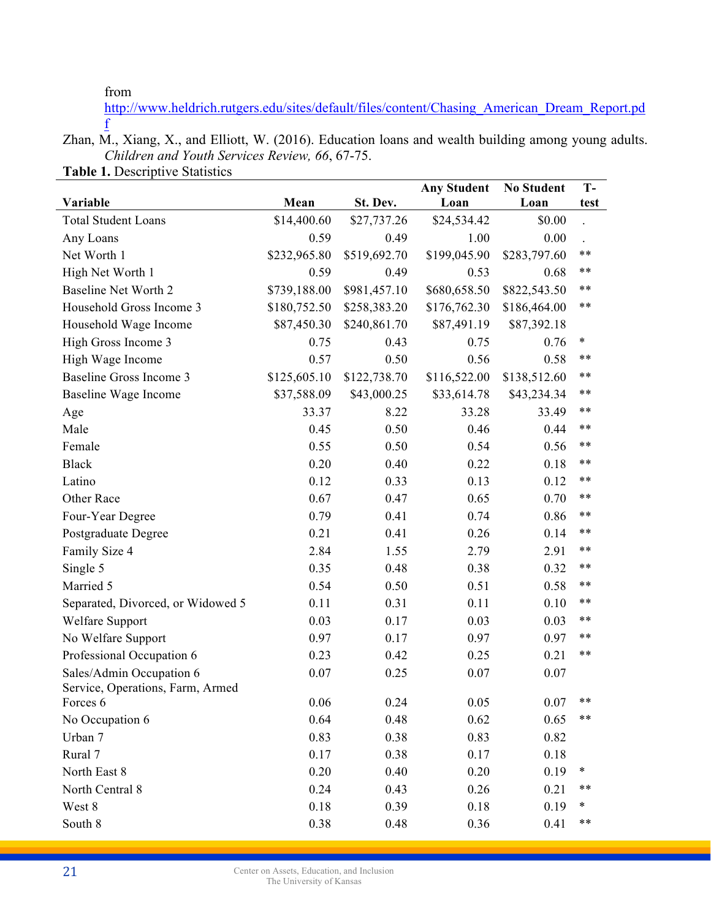from

http://www.heldrich.rutgers.edu/sites/default/files/content/Chasing\_American\_Dream\_Report.pd f

Zhan, M., Xiang, X., and Elliott, W. (2016). Education loans and wealth building among young adults. *Children and Youth Services Review, 66*, 67-75. **Table 1.** Descriptive Statistics

| $\frac{1}{2}$                     |              |              | <b>Any Student</b> | <b>No Student</b> | $T -$  |
|-----------------------------------|--------------|--------------|--------------------|-------------------|--------|
| Variable                          | Mean         | St. Dev.     | Loan               | Loan              | test   |
| <b>Total Student Loans</b>        | \$14,400.60  | \$27,737.26  | \$24,534.42        | \$0.00            |        |
| Any Loans                         | 0.59         | 0.49         | 1.00               | 0.00              |        |
| Net Worth 1                       | \$232,965.80 | \$519,692.70 | \$199,045.90       | \$283,797.60      | $***$  |
| High Net Worth 1                  | 0.59         | 0.49         | 0.53               | 0.68              | $***$  |
| Baseline Net Worth 2              | \$739,188.00 | \$981,457.10 | \$680,658.50       | \$822,543.50      | $***$  |
| Household Gross Income 3          | \$180,752.50 | \$258,383.20 | \$176,762.30       | \$186,464.00      | $***$  |
| Household Wage Income             | \$87,450.30  | \$240,861.70 | \$87,491.19        | \$87,392.18       |        |
| High Gross Income 3               | 0.75         | 0.43         | 0.75               | 0.76              | $\ast$ |
| High Wage Income                  | 0.57         | 0.50         | 0.56               | 0.58              | $***$  |
| <b>Baseline Gross Income 3</b>    | \$125,605.10 | \$122,738.70 | \$116,522.00       | \$138,512.60      | $***$  |
| Baseline Wage Income              | \$37,588.09  | \$43,000.25  | \$33,614.78        | \$43,234.34       | $***$  |
| Age                               | 33.37        | 8.22         | 33.28              | 33.49             | $***$  |
| Male                              | 0.45         | 0.50         | 0.46               | 0.44              | $***$  |
| Female                            | 0.55         | 0.50         | 0.54               | 0.56              | $***$  |
| <b>Black</b>                      | 0.20         | 0.40         | 0.22               | 0.18              | $***$  |
| Latino                            | 0.12         | 0.33         | 0.13               | 0.12              | $***$  |
| Other Race                        | 0.67         | 0.47         | 0.65               | 0.70              | $***$  |
| Four-Year Degree                  | 0.79         | 0.41         | 0.74               | 0.86              | $***$  |
| Postgraduate Degree               | 0.21         | 0.41         | 0.26               | 0.14              | $***$  |
| Family Size 4                     | 2.84         | 1.55         | 2.79               | 2.91              | $***$  |
| Single 5                          | 0.35         | 0.48         | 0.38               | 0.32              | $***$  |
| Married 5                         | 0.54         | 0.50         | 0.51               | 0.58              | $***$  |
| Separated, Divorced, or Widowed 5 | 0.11         | 0.31         | 0.11               | 0.10              | $**$   |
| Welfare Support                   | 0.03         | 0.17         | 0.03               | 0.03              | $***$  |
| No Welfare Support                | 0.97         | 0.17         | 0.97               | 0.97              | $***$  |
| Professional Occupation 6         | 0.23         | 0.42         | 0.25               | 0.21              | $***$  |
| Sales/Admin Occupation 6          | 0.07         | 0.25         | 0.07               | 0.07              |        |
| Service, Operations, Farm, Armed  |              |              |                    |                   |        |
| Forces 6                          | 0.06         | 0.24         | 0.05               | 0.07              | $***$  |
| No Occupation 6                   | 0.64         | 0.48         | 0.62               | 0.65              | $***$  |
| Urban 7                           | 0.83         | 0.38         | 0.83               | 0.82              |        |
| Rural 7                           | 0.17         | 0.38         | 0.17               | 0.18              |        |
| North East 8                      | 0.20         | 0.40         | 0.20               | 0.19              | $\ast$ |
| North Central 8                   | 0.24         | 0.43         | 0.26               | 0.21              | $***$  |
| West 8                            | 0.18         | 0.39         | 0.18               | 0.19              | $\ast$ |
| South 8                           | 0.38         | 0.48         | 0.36               | 0.41              | $***$  |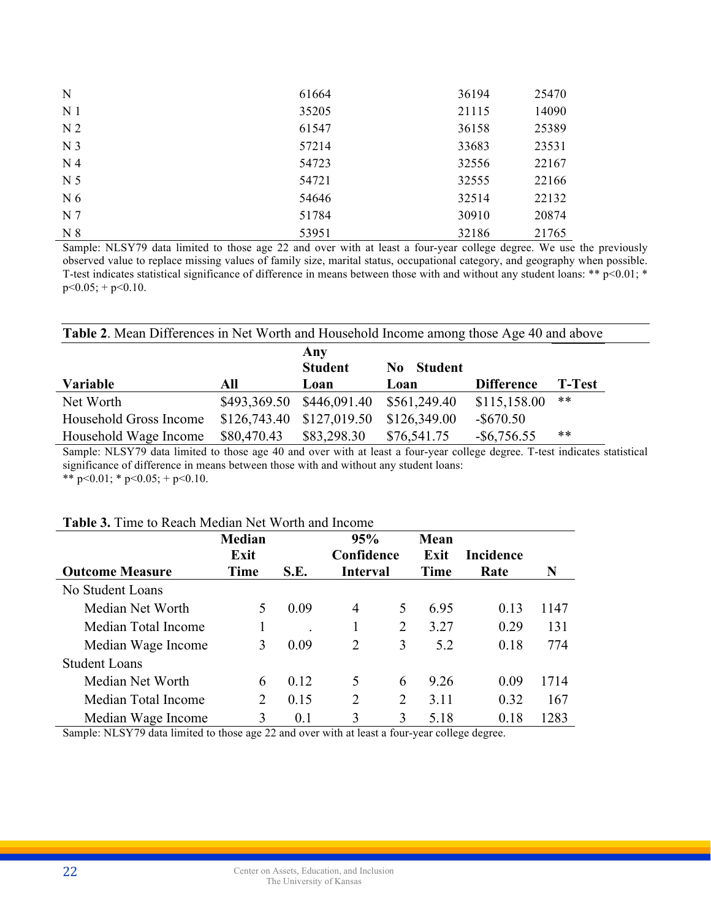| N              | 61664 | 36194 | 25470 |
|----------------|-------|-------|-------|
| N <sub>1</sub> | 35205 | 21115 | 14090 |
| N <sub>2</sub> | 61547 | 36158 | 25389 |
| N <sub>3</sub> | 57214 | 33683 | 23531 |
| N <sub>4</sub> | 54723 | 32556 | 22167 |
| N <sub>5</sub> | 54721 | 32555 | 22166 |
| N <sub>6</sub> | 54646 | 32514 | 22132 |
| N <sub>7</sub> | 51784 | 30910 | 20874 |
| N <sub>8</sub> | 53951 | 32186 | 21765 |

Sample: NLSY79 data limited to those age 22 and over with at least a four-year college degree. We use the previously observed value to replace missing values of family size, marital status, occupational category, and geography when possible. T-test indicates statistical significance of difference in means between those with and without any student loans: \*\*  $p<0.01$ ; \*  $p<0.05$ ; +  $p<0.10$ .

| <b>Table 2.</b> Mean Differences in Net Worth and Household Income among those Age 40 and above |              |                           |                       |                   |               |  |  |  |
|-------------------------------------------------------------------------------------------------|--------------|---------------------------|-----------------------|-------------------|---------------|--|--|--|
|                                                                                                 |              | Any<br><b>Student</b>     | <b>Student</b><br>No. |                   |               |  |  |  |
| <b>Variable</b>                                                                                 | All          | Loan                      | Loan                  | <b>Difference</b> | <b>T-Test</b> |  |  |  |
| Net Worth                                                                                       |              | \$493,369.50 \$446,091.40 | \$561,249.40          | \$115,158.00      | **            |  |  |  |
| Household Gross Income                                                                          | \$126,743.40 | \$127,019.50              | \$126,349.00          | $-$ \$670.50      |               |  |  |  |
| Household Wage Income                                                                           | \$80,470.43  | \$83,298.30               | \$76,541.75           | $-$ \$6,756.55    | **            |  |  |  |

Sample: NLSY79 data limited to those age 40 and over with at least a four-year college degree. T-test indicates statistical significance of difference in means between those with and without any student loans: \*\*  $p<0.01$ ; \*  $p<0.05$ ; +  $p<0.10$ .

#### **Table 3.** Time to Reach Median Net Worth and Income

|                        | <b>Median</b> |      | 95%             |   | Mean |                  |      |
|------------------------|---------------|------|-----------------|---|------|------------------|------|
|                        | Exit          |      | Confidence      |   | Exit | <b>Incidence</b> |      |
| <b>Outcome Measure</b> | Time          | S.E. | <b>Interval</b> |   | Time | Rate             | N    |
| No Student Loans       |               |      |                 |   |      |                  |      |
| Median Net Worth       | 5             | 0.09 | 4               | 5 | 695  | 0.13             | 1147 |
| Median Total Income    |               |      |                 | 2 | 3.27 | 0.29             | 131  |
| Median Wage Income     | 3             | 0.09 | 2               | 3 | 5.2  | 0.18             | 774  |
| <b>Student Loans</b>   |               |      |                 |   |      |                  |      |
| Median Net Worth       | 6             | 0.12 | 5               | 6 | 9.26 | 0.09             | 1714 |
| Median Total Income    | 2             | 0.15 | 2               | 2 | 3.11 | 0.32             | 167  |
| Median Wage Income     | 3             | 0.1  | 3               | 3 | 5.18 | 0.18             | 1283 |

Sample: NLSY79 data limited to those age 22 and over with at least a four-year college degree.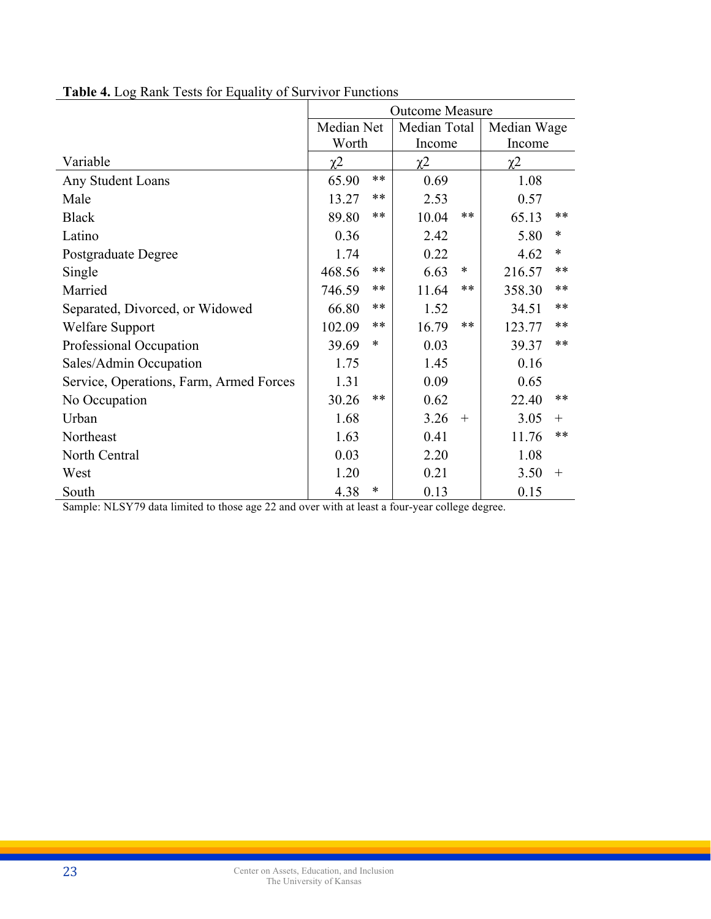|                                         | <b>Outcome Measure</b> |        |             |        |                     |        |  |  |
|-----------------------------------------|------------------------|--------|-------------|--------|---------------------|--------|--|--|
|                                         | Median Net             |        | Median Wage |        |                     |        |  |  |
|                                         | Worth                  |        | Income      |        | Income              |        |  |  |
| Variable                                | $\chi^2$               |        | $\chi^2$    |        | $\chi$ <sup>2</sup> |        |  |  |
| Any Student Loans                       | 65.90                  | $***$  | 0.69        |        | 1.08                |        |  |  |
| Male                                    | 13.27                  | $***$  | 2.53        |        | 0.57                |        |  |  |
| <b>Black</b>                            | 89.80                  | $***$  | 10.04       | $***$  | 65.13               | $***$  |  |  |
| Latino                                  | 0.36                   |        | 2.42        |        | 5.80                | $\ast$ |  |  |
| Postgraduate Degree                     | 1.74                   |        | 0.22        |        | 4.62                | $\ast$ |  |  |
| Single                                  | 468.56                 | **     | 6.63        | $\ast$ | 216.57              | **     |  |  |
| Married                                 | 746.59                 | $***$  | 11.64       | $***$  | 358.30              | $***$  |  |  |
| Separated, Divorced, or Widowed         | 66.80                  | **     | 1.52        |        | 34.51               | $***$  |  |  |
| <b>Welfare Support</b>                  | 102.09                 | **     | 16.79       | $**$   | 123.77              | $***$  |  |  |
| Professional Occupation                 | 39.69                  | $\ast$ | 0.03        |        | 39.37               | $***$  |  |  |
| Sales/Admin Occupation                  | 1.75                   |        | 1.45        |        | 0.16                |        |  |  |
| Service, Operations, Farm, Armed Forces | 1.31                   |        | 0.09        |        | 0.65                |        |  |  |
| No Occupation                           | 30.26                  | $***$  | 0.62        |        | 22.40               | $***$  |  |  |
| Urban                                   | 1.68                   |        | 3.26        | $+$    | 3.05                | $+$    |  |  |
| Northeast                               | 1.63                   |        | 0.41        |        | 11.76               | $***$  |  |  |
| North Central                           | 0.03                   |        | 2.20        |        | 1.08                |        |  |  |
| West                                    | 1.20                   |        | 0.21        |        | 3.50                | $^{+}$ |  |  |
| South                                   | 4.38                   | $\ast$ | 0.13        |        | 0.15                |        |  |  |

**Table 4.** Log Rank Tests for Equality of Survivor Functions

Sample: NLSY79 data limited to those age 22 and over with at least a four-year college degree.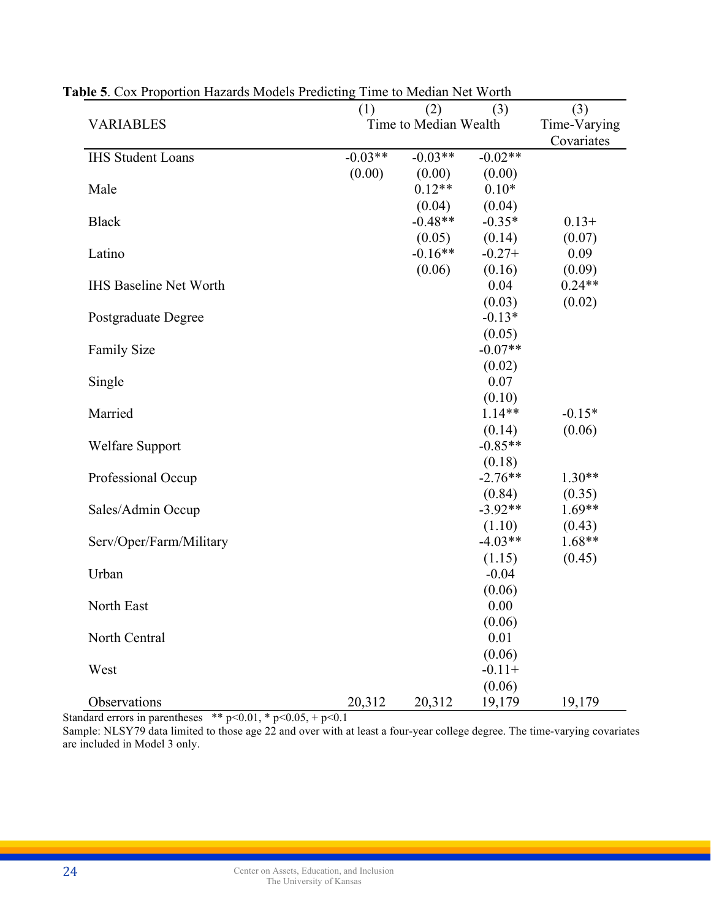|                               | (1)       | (2)                   | (3)                 | (3)                        |
|-------------------------------|-----------|-----------------------|---------------------|----------------------------|
| <b>VARIABLES</b>              |           | Time to Median Wealth |                     | Time-Varying<br>Covariates |
| <b>IHS Student Loans</b>      | $-0.03**$ | $-0.03**$             | $-0.02**$           |                            |
|                               | (0.00)    | (0.00)                | (0.00)              |                            |
| Male                          |           | $0.12**$              | $0.10*$             |                            |
|                               |           | (0.04)                | (0.04)              |                            |
| <b>Black</b>                  |           | $-0.48**$             | $-0.35*$            | $0.13+$                    |
| Latino                        |           | (0.05)<br>$-0.16**$   | (0.14)<br>$-0.27+$  | (0.07)<br>0.09             |
|                               |           | (0.06)                | (0.16)              | (0.09)                     |
| <b>IHS Baseline Net Worth</b> |           |                       | 0.04                | $0.24**$                   |
|                               |           |                       | (0.03)              | (0.02)                     |
| Postgraduate Degree           |           |                       | $-0.13*$            |                            |
|                               |           |                       | (0.05)              |                            |
| <b>Family Size</b>            |           |                       | $-0.07**$           |                            |
|                               |           |                       | (0.02)              |                            |
| Single                        |           |                       | 0.07                |                            |
|                               |           |                       | (0.10)              |                            |
| Married                       |           |                       | $1.14**$            | $-0.15*$                   |
|                               |           |                       | (0.14)              | (0.06)                     |
| <b>Welfare Support</b>        |           |                       | $-0.85**$           |                            |
|                               |           |                       | (0.18)              |                            |
| Professional Occup            |           |                       | $-2.76**$           | $1.30**$                   |
|                               |           |                       | (0.84)<br>$-3.92**$ | (0.35)<br>$1.69**$         |
| Sales/Admin Occup             |           |                       | (1.10)              | (0.43)                     |
| Serv/Oper/Farm/Military       |           |                       | $-4.03**$           | $1.68**$                   |
|                               |           |                       | (1.15)              | (0.45)                     |
| Urban                         |           |                       | $-0.04$             |                            |
|                               |           |                       | (0.06)              |                            |
| North East                    |           |                       | 0.00                |                            |
|                               |           |                       | (0.06)              |                            |
| North Central                 |           |                       | 0.01                |                            |
|                               |           |                       | (0.06)              |                            |
| West                          |           |                       | $-0.11+$            |                            |
|                               |           |                       | (0.06)              |                            |
| Observations                  | 20,312    | 20,312                | 19,179              | 19,179                     |

**Table 5**. Cox Proportion Hazards Models Predicting Time to Median Net Worth

Standard errors in parentheses \*\*  $p<0.01$ , \*  $p<0.05$ , +  $p<0.1$ 

Sample: NLSY79 data limited to those age 22 and over with at least a four-year college degree. The time-varying covariates are included in Model 3 only.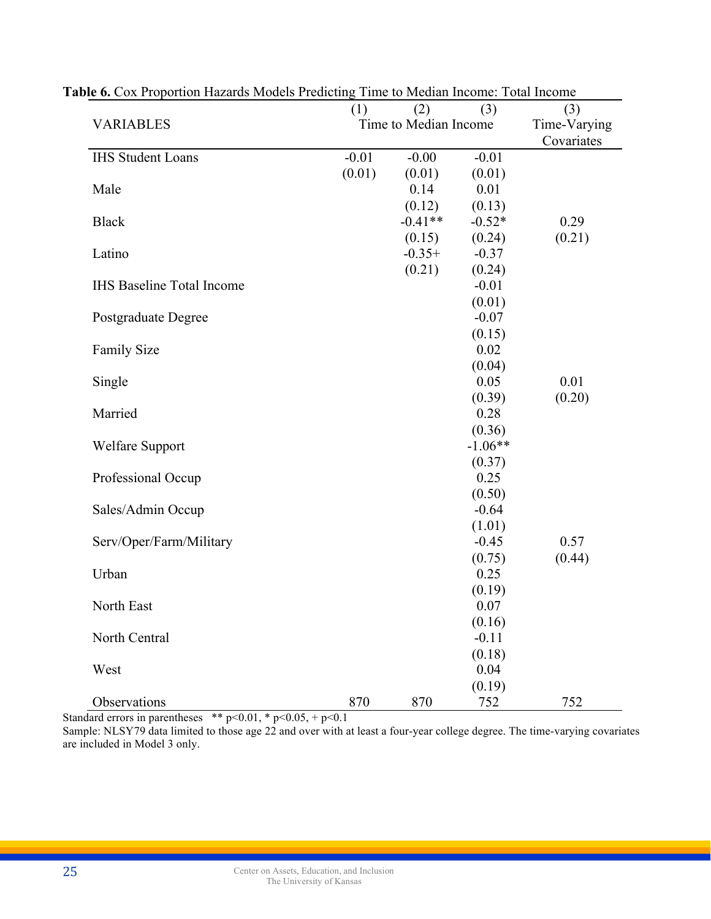|                                  | (1)     | (2)                   | (3)                | (3)          |
|----------------------------------|---------|-----------------------|--------------------|--------------|
| <b>VARIABLES</b>                 |         | Time to Median Income |                    | Time-Varying |
|                                  |         |                       |                    | Covariates   |
| <b>IHS Student Loans</b>         | $-0.01$ | $-0.00$               | $-0.01$            |              |
|                                  | (0.01)  | (0.01)                | (0.01)             |              |
| Male                             |         | 0.14                  | 0.01               |              |
| <b>Black</b>                     |         | (0.12)<br>$-0.41**$   | (0.13)<br>$-0.52*$ | 0.29         |
|                                  |         | (0.15)                | (0.24)             | (0.21)       |
| Latino                           |         | $-0.35+$              | $-0.37$            |              |
|                                  |         | (0.21)                | (0.24)             |              |
| <b>IHS Baseline Total Income</b> |         |                       | $-0.01$            |              |
|                                  |         |                       | (0.01)             |              |
| <b>Postgraduate Degree</b>       |         |                       | $-0.07$            |              |
|                                  |         |                       | (0.15)             |              |
| Family Size                      |         |                       | 0.02               |              |
|                                  |         |                       | (0.04)             |              |
| Single                           |         |                       | 0.05               | 0.01         |
|                                  |         |                       | (0.39)             | (0.20)       |
| Married                          |         |                       | 0.28               |              |
|                                  |         |                       | (0.36)             |              |
| <b>Welfare Support</b>           |         |                       | $-1.06**$          |              |
|                                  |         |                       | (0.37)             |              |
| Professional Occup               |         |                       | 0.25               |              |
|                                  |         |                       | (0.50)             |              |
| Sales/Admin Occup                |         |                       | $-0.64$            |              |
|                                  |         |                       | (1.01)             |              |
| Serv/Oper/Farm/Military          |         |                       | $-0.45$            | 0.57         |
|                                  |         |                       | (0.75)             | (0.44)       |
| Urban                            |         |                       | 0.25               |              |
|                                  |         |                       | (0.19)             |              |
| North East                       |         |                       | 0.07               |              |
|                                  |         |                       | (0.16)             |              |
| North Central                    |         |                       | $-0.11$            |              |
|                                  |         |                       | (0.18)             |              |
| West                             |         |                       | 0.04               |              |
|                                  |         |                       | (0.19)             |              |
| Observations                     | 870     | 870                   | 752                | 752          |

**Table 6.** Cox Proportion Hazards Models Predicting Time to Median Income: Total Income

Standard errors in parentheses \*\*  $p<0.01$ , \*  $p<0.05$ , +  $p<0.1$ 

Sample: NLSY79 data limited to those age 22 and over with at least a four-year college degree. The time-varying covariates are included in Model 3 only.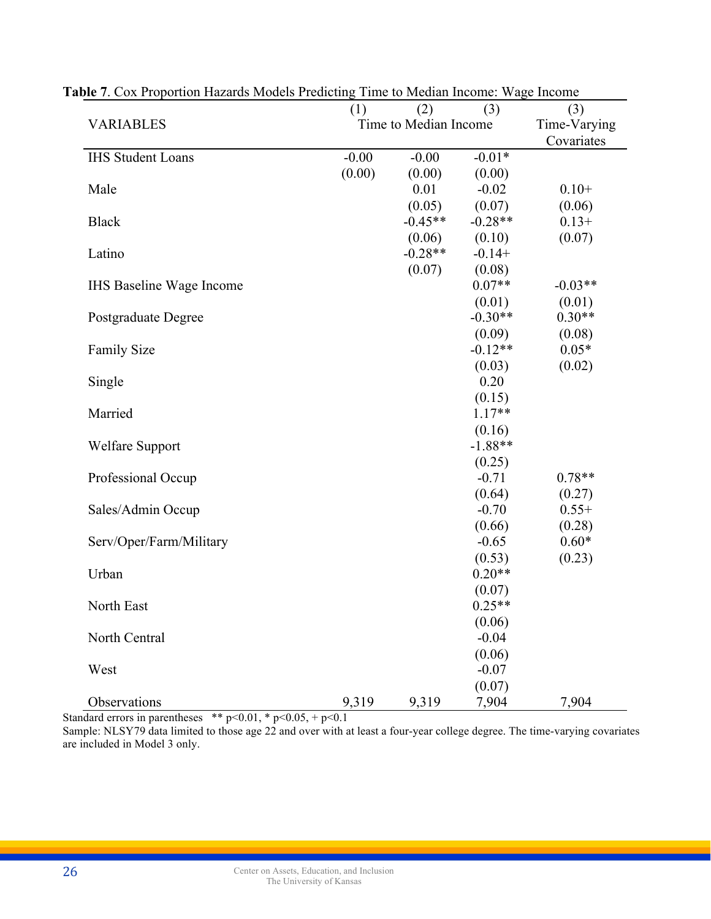|                                 | (1)     | (2)                   | (3)                | (3)          |
|---------------------------------|---------|-----------------------|--------------------|--------------|
| <b>VARIABLES</b>                |         | Time to Median Income |                    | Time-Varying |
|                                 |         |                       |                    | Covariates   |
| <b>IHS Student Loans</b>        | $-0.00$ | $-0.00$               | $-0.01*$           |              |
|                                 | (0.00)  | (0.00)                | (0.00)             |              |
| Male                            |         | 0.01                  | $-0.02$            | $0.10+$      |
|                                 |         | (0.05)<br>$-0.45**$   | (0.07)             | (0.06)       |
| <b>Black</b>                    |         |                       | $-0.28**$          | $0.13+$      |
| Latino                          |         | (0.06)<br>$-0.28**$   | (0.10)<br>$-0.14+$ | (0.07)       |
|                                 |         | (0.07)                | (0.08)             |              |
| <b>IHS</b> Baseline Wage Income |         |                       | $0.07**$           | $-0.03**$    |
|                                 |         |                       | (0.01)             | (0.01)       |
| Postgraduate Degree             |         |                       | $-0.30**$          | $0.30**$     |
|                                 |         |                       | (0.09)             | (0.08)       |
| <b>Family Size</b>              |         |                       | $-0.12**$          | $0.05*$      |
|                                 |         |                       | (0.03)             | (0.02)       |
| Single                          |         |                       | 0.20               |              |
|                                 |         |                       | (0.15)             |              |
| Married                         |         |                       | $1.17**$           |              |
|                                 |         |                       | (0.16)             |              |
| <b>Welfare Support</b>          |         |                       | $-1.88**$          |              |
|                                 |         |                       | (0.25)             |              |
| Professional Occup              |         |                       | $-0.71$            | $0.78**$     |
|                                 |         |                       | (0.64)             | (0.27)       |
| Sales/Admin Occup               |         |                       | $-0.70$            | $0.55+$      |
|                                 |         |                       | (0.66)             | (0.28)       |
| Serv/Oper/Farm/Military         |         |                       | $-0.65$            | $0.60*$      |
|                                 |         |                       | (0.53)             | (0.23)       |
| Urban                           |         |                       | $0.20**$           |              |
|                                 |         |                       | (0.07)             |              |
| North East                      |         |                       | $0.25**$           |              |
|                                 |         |                       | (0.06)             |              |
| North Central                   |         |                       | $-0.04$            |              |
|                                 |         |                       | (0.06)             |              |
| West                            |         |                       | $-0.07$            |              |
|                                 |         |                       | (0.07)             |              |
| Observations                    | 9,319   | 9,319                 | 7,904              | 7,904        |

**Table 7**. Cox Proportion Hazards Models Predicting Time to Median Income: Wage Income

Standard errors in parentheses \*\*  $p<0.01$ , \*  $p<0.05$ , +  $p<0.1$ 

Sample: NLSY79 data limited to those age 22 and over with at least a four-year college degree. The time-varying covariates are included in Model 3 only.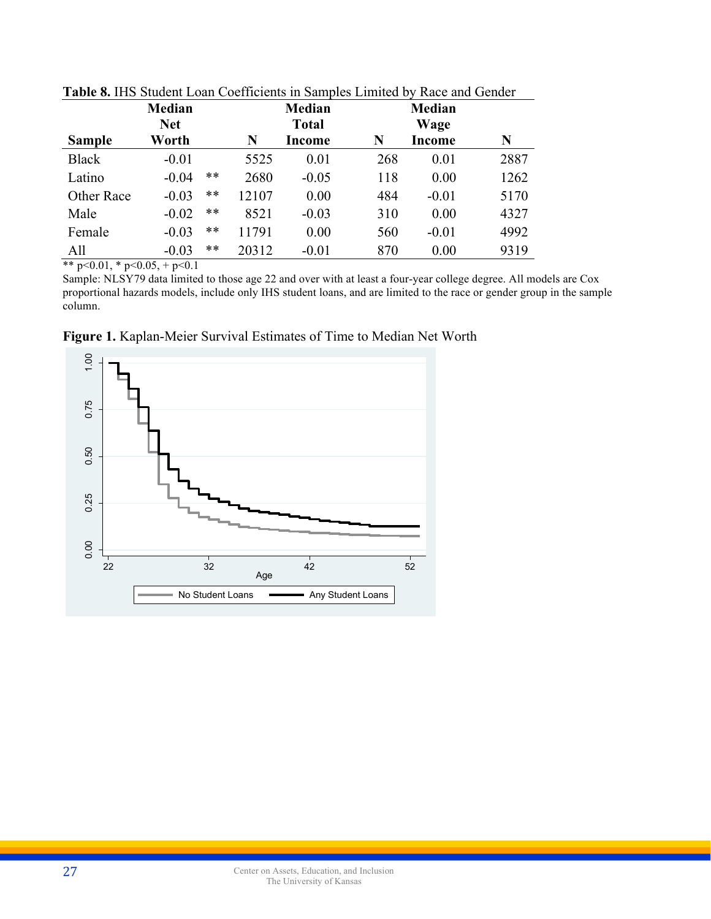|               | <b>Median</b><br><b>Net</b> |       |       | <b>Median</b><br><b>Total</b> |     | <b>Median</b><br>Wage |      |
|---------------|-----------------------------|-------|-------|-------------------------------|-----|-----------------------|------|
| <b>Sample</b> | Worth                       |       | N     | Income                        | N   | Income                | N    |
| <b>Black</b>  | $-0.01$                     |       | 5525  | 0.01                          | 268 | 0.01                  | 2887 |
| Latino        | $-0.04$                     | **    | 2680  | $-0.05$                       | 118 | 0.00                  | 1262 |
| Other Race    | $-0.03$                     | **    | 12107 | 0.00                          | 484 | $-0.01$               | 5170 |
| Male          | $-0.02$                     | **    | 8521  | $-0.03$                       | 310 | 0.00                  | 4327 |
| Female        | $-0.03$                     | **    | 11791 | 0.00                          | 560 | $-0.01$               | 4992 |
| All           | $-0.03$                     | $***$ | 20312 | $-0.01$                       | 870 | 0.00                  | 9319 |

**Table 8.** IHS Student Loan Coefficients in Samples Limited by Race and Gender

\*\* p<0.01, \* p<0.05, + p<0.1

Sample: NLSY79 data limited to those age 22 and over with at least a four-year college degree. All models are Cox proportional hazards models, include only IHS student loans, and are limited to the race or gender group in the sample column.



**Figure 1.** Kaplan-Meier Survival Estimates of Time to Median Net Worth